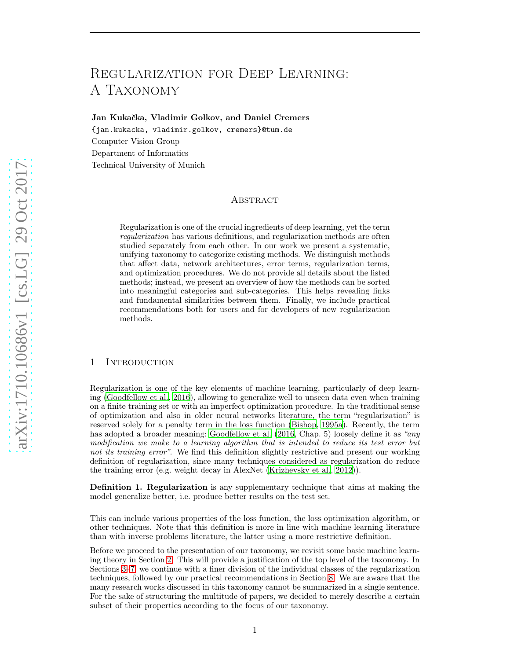# <span id="page-0-0"></span>Regularization for Deep Learning: A Taxonomy

Jan Kukačka, Vladimir Golkov, and Daniel Cremers

{jan.kukacka, vladimir.golkov, cremers}@tum.de Computer Vision Group Department of Informatics Technical University of Munich

# Abstract

Regularization is one of the crucial ingredients of deep learning, yet the term regularization has various definitions, and regularization methods are often studied separately from each other. In our work we present a systematic, unifying taxonomy to categorize existing methods. We distinguish methods that affect data, network architectures, error terms, regularization terms, and optimization procedures. We do not provide all details about the listed methods; instead, we present an overview of how the methods can be sorted into meaningful categories and sub-categories. This helps revealing links and fundamental similarities between them. Finally, we include practical recommendations both for users and for developers of new regularization methods.

#### 1 Introduction

Regularization is one of the key elements of machine learning, particularly of deep learning [\(Goodfellow et al.](#page-16-0), [2016](#page-16-0)), allowing to generalize well to unseen data even when training on a finite training set or with an imperfect optimization procedure. In the traditional sense of optimization and also in older neural networks literature, the term "regularization" is reserved solely for a penalty term in the loss function [\(Bishop, 1995a](#page-15-0)). Recently, the term has adopted a broader meaning: [Goodfellow et al. \(2016](#page-16-0), Chap. 5) loosely define it as "any modification we make to a learning algorithm that is intended to reduce its test error but not its training error". We find this definition slightly restrictive and present our working definition of regularization, since many techniques considered as regularization do reduce the training error (e.g. weight decay in AlexNet [\(Krizhevsky et al.](#page-17-0), [2012](#page-17-0))).

Definition 1. Regularization is any supplementary technique that aims at making the model generalize better, i.e. produce better results on the test set.

This can include various properties of the loss function, the loss optimization algorithm, or other techniques. Note that this definition is more in line with machine learning literature than with inverse problems literature, the latter using a more restrictive definition.

Before we proceed to the presentation of our taxonomy, we revisit some basic machine learning theory in Section [2.](#page-1-0) This will provide a justification of the top level of the taxonomy. In Sections [3–](#page-1-1)[7,](#page-9-0) we continue with a finer division of the individual classes of the regularization techniques, followed by our practical recommendations in Section [8.](#page-12-0) We are aware that the many research works discussed in this taxonomy cannot be summarized in a single sentence. For the sake of structuring the multitude of papers, we decided to merely describe a certain subset of their properties according to the focus of our taxonomy.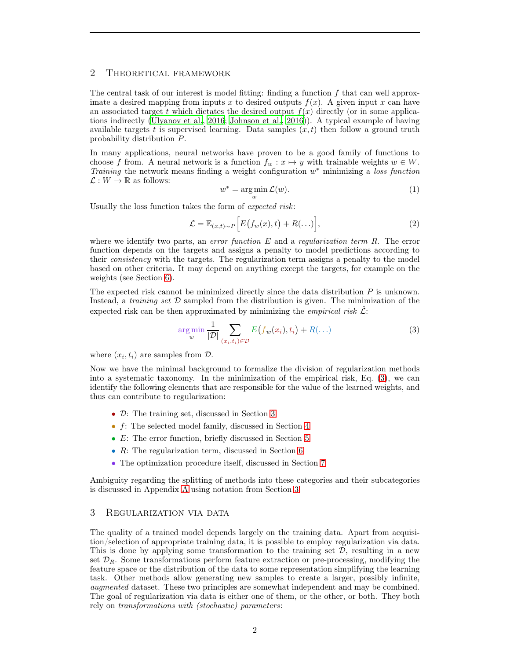# <span id="page-1-4"></span><span id="page-1-0"></span>2 Theoretical framework

The central task of our interest is model fitting: finding a function  $f$  that can well approximate a desired mapping from inputs x to desired outputs  $f(x)$ . A given input x can have an associated target t which dictates the desired output  $f(x)$  directly (or in some applications indirectly [\(Ulyanov et al.](#page-20-0), [2016;](#page-20-0) [Johnson et al., 2016](#page-17-1))). A typical example of having available targets t is supervised learning. Data samples  $(x, t)$  then follow a ground truth probability distribution P.

In many applications, neural networks have proven to be a good family of functions to choose f from. A neural network is a function  $f_w : x \mapsto y$  with trainable weights  $w \in W$ . Training the network means finding a weight configuration  $w^*$  minimizing a loss function  $\mathcal{L}: W \to \mathbb{R}$  as follows:

$$
w^* = \underset{w}{\arg\min} \mathcal{L}(w). \tag{1}
$$

<span id="page-1-3"></span>Usually the loss function takes the form of expected risk:

$$
\mathcal{L} = \mathbb{E}_{(x,t)\sim P}\Big[E\big(f_w(x),t\big) + R(\ldots)\Big],\tag{2}
$$

where we identify two parts, an *error function*  $E$  and a regularization term  $R$ . The error function depends on the targets and assigns a penalty to model predictions according to their consistency with the targets. The regularization term assigns a penalty to the model based on other criteria. It may depend on anything except the targets, for example on the weights (see Section [6\)](#page-8-0).

The expected risk cannot be minimized directly since the data distribution  $P$  is unknown. Instead, a *training set*  $D$  sampled from the distribution is given. The minimization of the expected risk can be then approximated by minimizing the *empirical risk*  $\hat{\mathcal{L}}$ :

<span id="page-1-2"></span>
$$
\underset{\mathbf{w}}{\arg\min} \frac{1}{|\mathcal{D}|} \sum_{(x_i, t_i) \in \mathcal{D}} E\big(f_{\mathbf{w}}(x_i), t_i\big) + R(\ldots) \tag{3}
$$

where  $(x_i, t_i)$  are samples from  $\mathcal{D}$ .

Now we have the minimal background to formalize the division of regularization methods into a systematic taxonomy. In the minimization of the empirical risk, Eq. [\(3\)](#page-1-2), we can identify the following elements that are responsible for the value of the learned weights, and thus can contribute to regularization:

- D: The training set, discussed in Section [3](#page-1-1)
- f: The selected model family, discussed in Section [4](#page-5-0)
- E: The error function, briefly discussed in Section [5](#page-8-1)
- R: The regularization term, discussed in Section [6](#page-8-0)
- The optimization procedure itself, discussed in Section [7](#page-9-0)

Ambiguity regarding the splitting of methods into these categories and their subcategories is discussed in Appendix [A](#page-21-0) using notation from Section [3.](#page-1-1)

# <span id="page-1-1"></span>3 Regularization via data

The quality of a trained model depends largely on the training data. Apart from acquisition/selection of appropriate training data, it is possible to employ regularization via data. This is done by applying some transformation to the training set  $\mathcal{D}$ , resulting in a new set  $\mathcal{D}_R$ . Some transformations perform feature extraction or pre-processing, modifying the feature space or the distribution of the data to some representation simplifying the learning task. Other methods allow generating new samples to create a larger, possibly infinite, augmented dataset. These two principles are somewhat independent and may be combined. The goal of regularization via data is either one of them, or the other, or both. They both rely on transformations with (stochastic) parameters: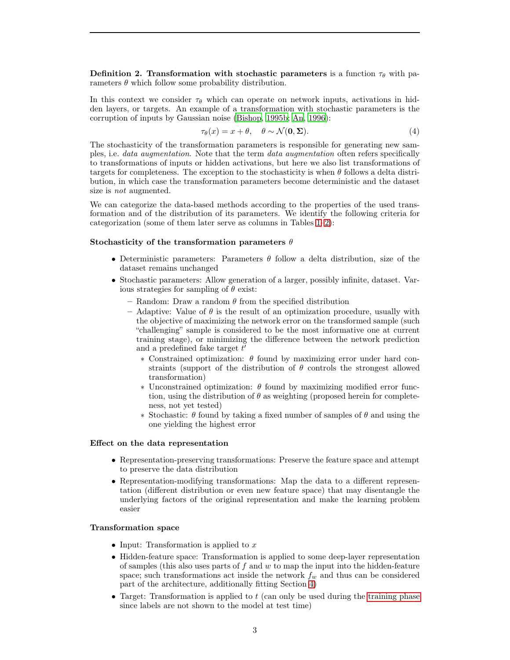<span id="page-2-3"></span>Definition 2. Transformation with stochastic parameters is a function  $\tau_{\theta}$  with parameters  $\theta$  which follow some probability distribution.

In this context we consider  $\tau_{\theta}$  which can operate on network inputs, activations in hidden layers, or targets. An example of a transformation with stochastic parameters is the corruption of inputs by Gaussian noise [\(Bishop, 1995b;](#page-15-1) [An](#page-14-0), [1996\)](#page-14-0):

$$
\tau_{\theta}(x) = x + \theta, \quad \theta \sim \mathcal{N}(\mathbf{0}, \Sigma). \tag{4}
$$

The stochasticity of the transformation parameters is responsible for generating new samples, i.e. *data augmentation*. Note that the term *data augmentation* often refers specifically to transformations of inputs or hidden activations, but here we also list transformations of targets for completeness. The exception to the stochasticity is when  $\theta$  follows a delta distribution, in which case the transformation parameters become deterministic and the dataset size is not augmented.

We can categorize the data-based methods according to the properties of the used transformation and of the distribution of its parameters. We identify the following criteria for categorization (some of them later serve as columns in Tables [1](#page-4-0)[–2\)](#page-5-1):

#### <span id="page-2-1"></span>Stochasticity of the transformation parameters  $\theta$

- Deterministic parameters: Parameters  $\theta$  follow a delta distribution, size of the dataset remains unchanged
- Stochastic parameters: Allow generation of a larger, possibly infinite, dataset. Various strategies for sampling of  $\theta$  exist:
	- Random: Draw a random  $\theta$  from the specified distribution
	- Adaptive: Value of  $\theta$  is the result of an optimization procedure, usually with the objective of maximizing the network error on the transformed sample (such "challenging" sample is considered to be the most informative one at current training stage), or minimizing the difference between the network prediction and a predefined fake target  $t'$ 
		- ∗ Constrained optimization: θ found by maximizing error under hard constraints (support of the distribution of  $\theta$  controls the strongest allowed transformation)
		- $\ast$  Unconstrained optimization:  $\theta$  found by maximizing modified error function, using the distribution of  $\theta$  as weighting (proposed herein for completeness, not yet tested)
		- ∗ Stochastic: θ found by taking a fixed number of samples of θ and using the one yielding the highest error

#### <span id="page-2-2"></span>Effect on the data representation

- Representation-preserving transformations: Preserve the feature space and attempt to preserve the data distribution
- Representation-modifying transformations: Map the data to a different representation (different distribution or even new feature space) that may disentangle the underlying factors of the original representation and make the learning problem easier

#### <span id="page-2-0"></span>Transformation space

- Input: Transformation is applied to  $x$
- Hidden-feature space: Transformation is applied to some deep-layer representation of samples (this also uses parts of  $f$  and  $w$  to map the input into the hidden-feature space; such transformations act inside the network  $f_w$  and thus can be considered part of the architecture, additionally fitting Section [4\)](#page-5-0)
- Target: Transformation is applied to  $t$  (can only be used during the [training phase](#page-3-0) since labels are not shown to the model at test time)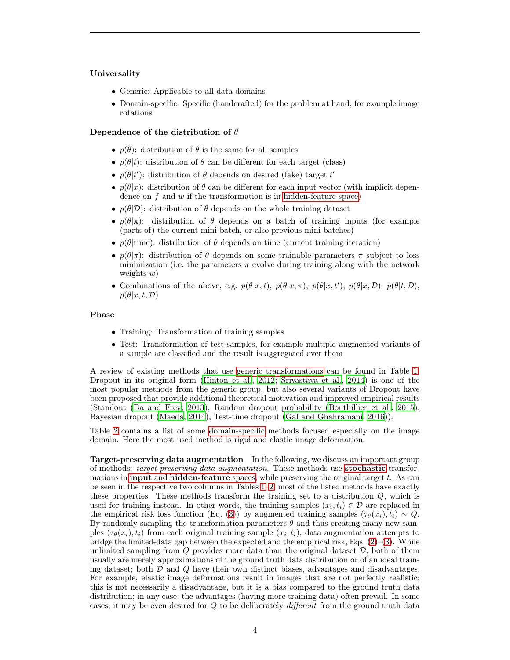#### <span id="page-3-3"></span><span id="page-3-1"></span>Universality

- Generic: Applicable to all data domains
- Domain-specific: Specific (handcrafted) for the problem at hand, for example image rotations

# <span id="page-3-2"></span>Dependence of the distribution of  $\theta$

- $p(\theta)$ : distribution of  $\theta$  is the same for all samples
- $p(\theta|t)$ : distribution of  $\theta$  can be different for each target (class)
- $p(\theta|t')$ : distribution of  $\theta$  depends on desired (fake) target t'
- $p(\theta|x)$ : distribution of  $\theta$  can be different for each input vector (with implicit dependence on  $f$  and  $w$  if the transformation is in [hidden-feature space\)](#page-2-0)
- $p(\theta|\mathcal{D})$ : distribution of  $\theta$  depends on the whole training dataset
- $p(\theta|\mathbf{x})$ : distribution of  $\theta$  depends on a batch of training inputs (for example (parts of) the current mini-batch, or also previous mini-batches)
- $p(\theta)$ time): distribution of  $\theta$  depends on time (current training iteration)
- $p(\theta|\pi)$ : distribution of  $\theta$  depends on some trainable parameters  $\pi$  subject to loss minimization (i.e. the parameters  $\pi$  evolve during training along with the network weights  $w$ )
- Combinations of the above, e.g.  $p(\theta|x,t)$ ,  $p(\theta|x,\pi)$ ,  $p(\theta|x,t')$ ,  $p(\theta|x,D)$ ,  $p(\theta|t,D)$ ,  $p(\theta|x, t, \mathcal{D})$

#### <span id="page-3-0"></span>Phase

- Training: Transformation of training samples
- Test: Transformation of test samples, for example multiple augmented variants of a sample are classified and the result is aggregated over them

A review of existing methods that use [generic transformations](#page-3-1) can be found in Table [1.](#page-4-0) Dropout in its original form [\(Hinton et al., 2012](#page-17-2); [Srivastava et al.](#page-20-1), [2014\)](#page-20-1) is one of the most popular methods from the generic group, but also several variants of Dropout have been proposed that provide additional theoretical motivation and improved empirical results (Standout [\(Ba and Frey, 2013\)](#page-14-1), Random dropout probability [\(Bouthillier et al., 2015\)](#page-15-2), Bayesian dropout [\(Maeda, 2014\)](#page-18-0), Test-time dropout (Gal and [Ghahramani, 2016\)](#page-16-1)).

Table [2](#page-5-1) contains a list of some [domain-specific](#page-3-1) methods focused especially on the image domain. Here the most used method is rigid and elastic image deformation.

Target-preserving data augmentation In the following, we discuss an important group of methods: *target-preserving data augmentation*. These methods use **[stochastic](#page-2-1)** transformations in **input** and **[hidden-feature](#page-2-0)** spaces, while preserving the original target  $t$ . As can be seen in the respective two columns in Tables [1–](#page-4-0)[2,](#page-5-1) most of the listed methods have exactly these properties. These methods transform the training set to a distribution  $Q$ , which is used for training instead. In other words, the training samples  $(x_i, t_i) \in \mathcal{D}$  are replaced in the empirical risk loss function (Eq. [\(3\)](#page-1-2)) by augmented training samples  $(\tau_{\theta}(x_i), t_i) \sim Q$ . By randomly sampling the transformation parameters  $\theta$  and thus creating many new samples  $(\tau_{\theta}(x_i), t_i)$  from each original training sample  $(x_i, t_i)$ , data augmentation attempts to bridge the limited-data gap between the expected and the empirical risk, Eqs.  $(2)-(3)$  $(2)-(3)$ . While unlimited sampling from  $Q$  provides more data than the original dataset  $D$ , both of them usually are merely approximations of the ground truth data distribution or of an ideal training dataset; both  $\mathcal D$  and  $Q$  have their own distinct biases, advantages and disadvantages. For example, elastic image deformations result in images that are not perfectly realistic; this is not necessarily a disadvantage, but it is a bias compared to the ground truth data distribution; in any case, the advantages (having more training data) often prevail. In some cases, it may be even desired for Q to be deliberately different from the ground truth data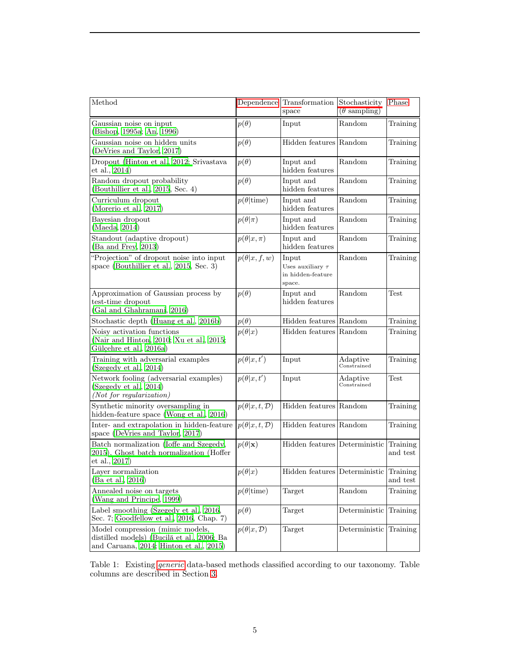<span id="page-4-1"></span><span id="page-4-0"></span>

| Method                                                                                                                    | Dependence                  | Transformation<br>space                                       | Stochasticity<br>$(\theta \text{ sampling})$ | Phase                |
|---------------------------------------------------------------------------------------------------------------------------|-----------------------------|---------------------------------------------------------------|----------------------------------------------|----------------------|
| Gaussian noise on input<br>(Bishop, 1995a; An, 1996)                                                                      | $p(\theta)$                 | Input                                                         | Random                                       | Training             |
| Gaussian noise on hidden units<br>(DeVries and Taylor, 2017)                                                              | $p(\theta)$                 | Hidden features Random                                        |                                              | Training             |
| Dropout (Hinton et al., 2012; Srivastava<br>et al., 2014)                                                                 | $p(\theta)$                 | Input and<br>hidden features                                  | Random                                       | Training             |
| Random dropout probability<br>(Bouthillier et al., 2015, Sec. 4)                                                          | $p(\theta)$                 | Input and<br>hidden features                                  | Random                                       | Training             |
| Curriculum dropout<br>(Morerio et al., 2017)                                                                              | $p(\theta   \text{time})$   | Input and<br>hidden features                                  | Random                                       | Training             |
| Bayesian dropout<br>(Maeda, 2014)                                                                                         | $p(\theta \pi)$             | Input and<br>hidden features                                  | Random                                       | Training             |
| Standout (adaptive dropout)<br>(Ba and Frey, 2013)                                                                        | $p(\theta x,\pi)$           | Input and<br>hidden features                                  | Random                                       | Training             |
| "Projection" of dropout noise into input<br>space (Bouthillier et al., 2015, Sec. 3)                                      | $p(\theta x, f, w)$         | Input<br>Uses auxiliary $\tau$<br>in hidden-feature<br>space. | Random                                       | Training             |
| Approximation of Gaussian process by<br>test-time dropout<br>(Gal and Ghahramani, 2016)                                   | $p(\theta)$                 | Input and<br>hidden features                                  | Random                                       | Test                 |
| Stochastic depth (Huang et al., 2016b)                                                                                    | $p(\theta)$                 | Hidden features Random                                        |                                              | Training             |
| Noisy activation functions<br>(Nair and Hinton, 2010; Xu et al., 2015;<br>Gülçehre et al., 2016a)                         | $p(\theta x)$               | Hidden features Random                                        |                                              | Training             |
| Training with adversarial examples<br>(Szegedy et al., 2014)                                                              | $p(\theta x,t')$            | Input                                                         | Adaptive<br>Constrained                      | Training             |
| Network fooling (adversarial examples)<br>(Szegedy et al., 2014)<br>(Not for regularization)                              | $p(\theta x,t')$            | Input                                                         | Adaptive<br>Constrained                      | Test                 |
| Synthetic minority oversampling in<br>hidden-feature space (Wong et al., 2016)                                            | $p(\theta x,t,\mathcal{D})$ | Hidden features Random                                        |                                              | Training             |
| Inter- and extrapolation in hidden-feature<br>space (DeVries and Taylor, 2017)                                            | $p(\theta x,t,\mathcal{D})$ | Hidden features Random                                        |                                              | Training             |
| Batch normalization (Ioffe and Szegedy,<br>2015), Ghost batch normalization (Hoffer<br>et al., 2017)                      | $p(\theta \mathbf{x})$      | Hidden features Deterministic                                 |                                              | Training<br>and test |
| Layer normalization<br>(Ba et al., 2016)                                                                                  | $p(\theta x)$               | Hidden features Deterministic                                 |                                              | Training<br>and test |
| Annealed noise on targets<br>(Wang and Principe, 1999)                                                                    | $p(\theta   \text{time})$   | Target                                                        | Random                                       | Training             |
| Label smoothing (Szegedy et al., 2016,<br>Sec. 7; Goodfellow et al., 2016, Chap. 7)                                       | $p(\theta)$                 | Target                                                        | Deterministic                                | Training             |
| Model compression (mimic models,<br>distilled models) (Bucilă et al., 2006; Ba<br>and Caruana, 2014; Hinton et al., 2015) | $p(\theta x, \mathcal{D})$  | Target                                                        | Deterministic                                | Training             |

Table 1: Existing *[generic](#page-3-1)* data-based methods classified according to our taxonomy. Table columns are described in Section [3.](#page-1-1)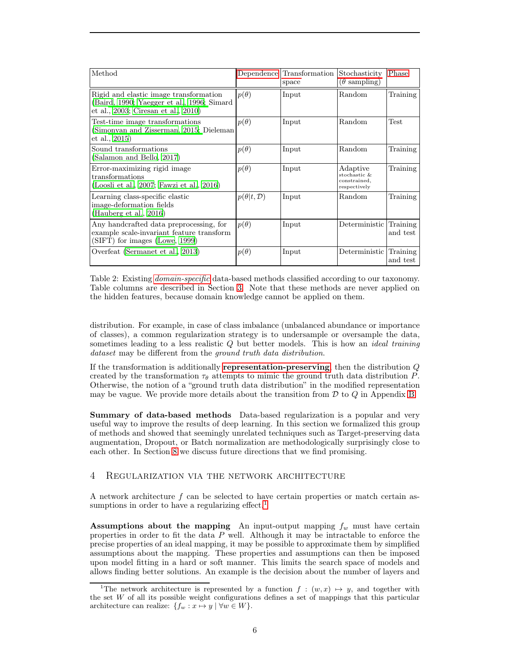<span id="page-5-3"></span><span id="page-5-1"></span>

| Method                                                                                                                      |                           | Dependence Transformation<br>space | Stochasticity<br>$(\theta \text{ sampling})$             | Phase                |
|-----------------------------------------------------------------------------------------------------------------------------|---------------------------|------------------------------------|----------------------------------------------------------|----------------------|
| Rigid and elastic image transformation<br>(Baird, 1990; Yaegger et al., 1996; Simard<br>et al., 2003; Ciresan et al., 2010) | $p(\theta)$               | Input                              | Random                                                   | Training             |
| Test-time image transformations<br>(Simonyan and Zisserman, 2015; Dieleman<br>et al., 2015)                                 | $p(\theta)$               | Input                              | Random                                                   | <b>Test</b>          |
| Sound transformations<br>(Salamon and Bello, 2017)                                                                          | $p(\theta)$               | Input                              | Random                                                   | Training             |
| Error-maximizing rigid image<br>transformations<br>(Loosli et al., 2007; Fawzi et al., 2016)                                | $p(\theta)$               | Input                              | Adaptive<br>stochastic &<br>constrained,<br>respectively | Training             |
| Learning class-specific elastic<br>image-deformation fields<br>(Hauberg et al., 2016)                                       | $p(\theta t,\mathcal{D})$ | Input                              | Random                                                   | Training             |
| Any handcrafted data preprocessing, for<br>example scale-invariant feature transform<br>(SIFT) for images (Lowe, 1999)      | $p(\theta)$               | Input                              | Deterministic                                            | Training<br>and test |
| Overfeat (Sermanet et al., 2013)                                                                                            | $p(\theta)$               | Input                              | Deterministic                                            | Training<br>and test |

Table 2: Existing [domain-specific](#page-3-1) data-based methods classified according to our taxonomy. Table columns are described in Section [3.](#page-1-1) Note that these methods are never applied on the hidden features, because domain knowledge cannot be applied on them.

distribution. For example, in case of class imbalance (unbalanced abundance or importance of classes), a common regularization strategy is to undersample or oversample the data, sometimes leading to a less realistic  $Q$  but better models. This is how an *ideal training* dataset may be different from the ground truth data distribution.

If the transformation is additionally **[representation-preserving](#page-2-2)**, then the distribution  $Q$ created by the transformation  $\tau_{\theta}$  attempts to mimic the ground truth data distribution P. Otherwise, the notion of a "ground truth data distribution" in the modified representation may be vague. We provide more details about the transition from  $D$  to  $Q$  in Appendix [B.](#page-21-1)

Summary of data-based methods Data-based regularization is a popular and very useful way to improve the results of deep learning. In this section we formalized this group of methods and showed that seemingly unrelated techniques such as Target-preserving data augmentation, Dropout, or Batch normalization are methodologically surprisingly close to each other. In Section [8](#page-12-0) we discuss future directions that we find promising.

# <span id="page-5-0"></span>4 Regularization via the network architecture

A network architecture  $f$  can be selected to have certain properties or match certain as-sumptions in order to have a regularizing effect.<sup>[1](#page-5-2)</sup>

Assumptions about the mapping An input-output mapping  $f_w$  must have certain properties in order to fit the data  $P$  well. Although it may be intractable to enforce the precise properties of an ideal mapping, it may be possible to approximate them by simplified assumptions about the mapping. These properties and assumptions can then be imposed upon model fitting in a hard or soft manner. This limits the search space of models and allows finding better solutions. An example is the decision about the number of layers and

<span id="page-5-2"></span><sup>&</sup>lt;sup>1</sup>The network architecture is represented by a function  $f : (w, x) \mapsto y$ , and together with the set  $W$  of all its possible weight configurations defines a set of mappings that this particular architecture can realize:  $\{f_w : x \mapsto y \mid \forall w \in W\}.$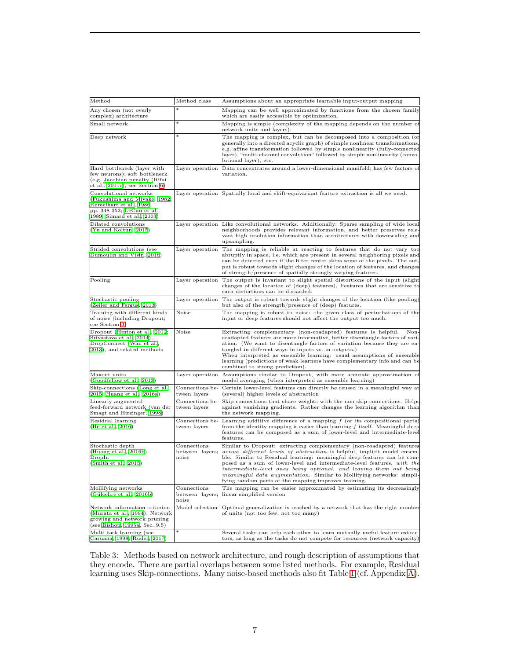<span id="page-6-1"></span><span id="page-6-0"></span>

| $\operatorname*{Method}% \left( \mathcal{M}\right) \times\mathcal{M}\left( \mathcal{M}\right)$                                                | Method class                                     | Assumptions about an appropriate learnable input-output mapping                                                                                                                                                                                                                                                                                                                                                                                                                                                       |
|-----------------------------------------------------------------------------------------------------------------------------------------------|--------------------------------------------------|-----------------------------------------------------------------------------------------------------------------------------------------------------------------------------------------------------------------------------------------------------------------------------------------------------------------------------------------------------------------------------------------------------------------------------------------------------------------------------------------------------------------------|
| Any chosen (not overly<br>complex) architecture                                                                                               |                                                  | Mapping can be well approximated by functions from the chosen family<br>which are easily accessible by optimization.                                                                                                                                                                                                                                                                                                                                                                                                  |
| Small network                                                                                                                                 | $\ast$                                           | Mapping is simple (complexity of the mapping depends on the number of<br>network units and layers).                                                                                                                                                                                                                                                                                                                                                                                                                   |
| Deep network                                                                                                                                  | $\ast$                                           | The mapping is complex, but can be decomposed into a composition (or<br>generally into a directed acyclic graph) of simple nonlinear transformations,<br>e.g. affine transformation followed by simple nonlinearity (fully-connected<br>layer), "multi-channel convolution" followed by simple nonlinearity (convo-<br>lutional layer), etc.                                                                                                                                                                          |
| Hard bottleneck (layer with<br>few neurons); soft bottleneck<br>(e.g. Jacobian penalty (Rifai<br>et al., 2011c), see Section 6)               | Layer operation                                  | Data concentrates around a lower-dimensional manifold; has few factors of<br>variation.                                                                                                                                                                                                                                                                                                                                                                                                                               |
| Convolutional networks<br>(Fukushima and Miyake, 1982;<br>Rumelhart et al., 1986,<br>pp. 348-352; LeCun et al.,<br>1989; Simard et al., 2003) |                                                  | Layer operation Spatially local and shift-equivariant feature extraction is all we need.                                                                                                                                                                                                                                                                                                                                                                                                                              |
| Dilated convolutions<br>(Yu and Koltun, 2015)                                                                                                 | Layer operation                                  | Like convolutional networks. Additionally: Sparse sampling of wide local<br>neighborhoods provides relevant information, and better preserves rele-<br>vant high-resolution information than architectures with downscaling and<br>upsampling.                                                                                                                                                                                                                                                                        |
| Strided convolutions (see<br>Dumoulin and Visin, 2016)                                                                                        | Layer operation                                  | The mapping is reliable at reacting to features that do not vary too<br>abruptly in space, i.e. which are present in several neighboring pixels and<br>can be detected even if the filter center skips some of the pixels. The out-<br>put is robust towards slight changes of the location of features, and changes<br>of strength/presence of spatially strongly varying features.                                                                                                                                  |
| Pooling                                                                                                                                       | Layer operation                                  | The output is invariant to slight spatial distortions of the input (slight<br>changes of the location of (deep) features). Features that are sensitive to<br>such distortions can be discarded.                                                                                                                                                                                                                                                                                                                       |
| Stochastic pooling<br>(Zeiler and Fergus, 2013)                                                                                               | Layer operation                                  | The output is robust towards slight changes of the location (like pooling)<br>but also of the strength/presence of (deep) features.                                                                                                                                                                                                                                                                                                                                                                                   |
| Training with different kinds<br>of noise (including Dropout;<br>see Section 3)                                                               | Noise                                            | The mapping is robust to noise: the given class of perturbations of the<br>input or deep features should not affect the output too much.                                                                                                                                                                                                                                                                                                                                                                              |
| Dropout (Hinton et al., 2012;<br>Srivastava et al., 2014),<br>DropConnect (Wan et al.,<br>2013), and related methods                          | Noise                                            | Extracting complementary (non-coadapted) features is helpful.<br>Non-<br>coadapted features are more informative, better disentangle factors of vari-<br>ation. (We want to disentangle factors of variation because they are en-<br>tangled in different ways in inputs vs. in outputs.)<br>When interpreted as ensemble learning: usual assumptions of ensemble<br>learning (predictions of weak learners have complementary info and can be<br>combined to strong prediction).                                     |
| Maxout units<br>Goodfellow et al., 2013)                                                                                                      | Layer operation                                  | Assumptions similar to Dropout, with more accurate approximation of<br>model averaging (when interpreted as ensemble learning)                                                                                                                                                                                                                                                                                                                                                                                        |
| Skip-connections (Long et al.,<br>2015; Huang et al., 2016a)                                                                                  | Connections be-<br>tween layers                  | Certain lower-level features can directly be reused in a meaningful way at<br>(several) higher levels of abstraction                                                                                                                                                                                                                                                                                                                                                                                                  |
| Linearly augmented<br>feed-forward network (van der<br>Smagt and Hirzinger, 1998)                                                             | Connections be-<br>tween layers                  | Skip-connections that share weights with the non-skip-connections. Helps<br>against vanishing gradients. Rather changes the learning algorithm than<br>the network mapping.                                                                                                                                                                                                                                                                                                                                           |
| Residual learning<br>(He et al., 2016)                                                                                                        | Connections be-<br>tween layers                  | Learning additive difference of a mapping $f$ (or its compositional parts)<br>from the identity mapping is easier than learning f itself. Meaningful deep<br>features can be composed as a sum of lower-level and intermediate-level<br>features.                                                                                                                                                                                                                                                                     |
| Stochastic depth<br>(Huang et al., 2016b),<br>DropIn<br>(Smith et al., 2015)                                                                  | $\Gamma$ Connections<br>between layers;<br>noise | Similar to Dropout: extracting complementary (non-coadapted) features<br>across different levels of abstraction is helpful; implicit model ensem-<br>ble. Similar to Residual learning: meaningful deep features can be com-<br>posed as a sum of lower-level and intermediate-level features, with the<br>intermediate-level ones being optional, and leaving them out being<br><i>meaningful data augmentation.</i> Similar to Mollifying networks: simpli-<br>fying random parts of the mapping improves training. |
| Mollifying networks<br>(Gülçehre et al., 2016b)                                                                                               | Connections<br>between layers;<br>noise          | The mapping can be easier approximated by estimating its decreasingly<br>linear simplified version                                                                                                                                                                                                                                                                                                                                                                                                                    |
| Network information criterion<br>(Murata et al., 1994), Network<br>growing and network pruning<br>(see Bishop, 1995a, Sec. 9.5)               | Model selection                                  | Optimal generalization is reached by a network that has the right number<br>of units (not too few, not too many)                                                                                                                                                                                                                                                                                                                                                                                                      |
| Multi-task learning (see<br>Caruana, 1998; Ruder, 2017)                                                                                       | $\ast$                                           | Several tasks can help each other to learn mutually useful feature extrac-<br>tors, as long as the tasks do not compete for resources (network capacity)                                                                                                                                                                                                                                                                                                                                                              |

Table 3: Methods based on network architecture, and rough description of assumptions that they encode. There are partial overlaps between some listed methods. For example, Residual learning uses Skip-connections. Many noise-based methods also fit Table [1](#page-4-0) (cf. Appendix [A\)](#page-21-0).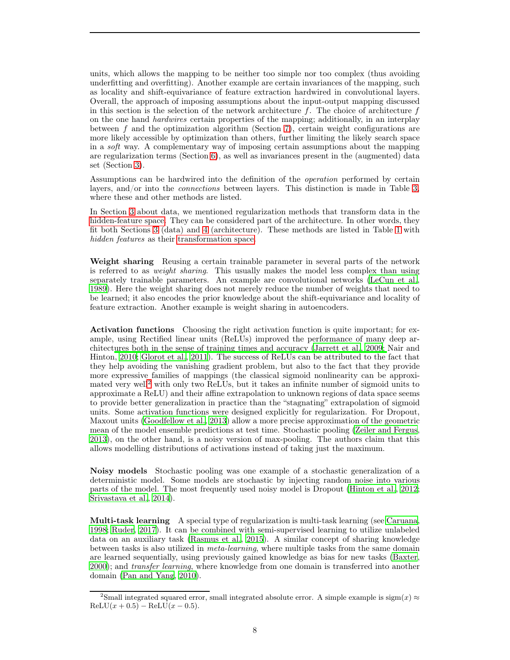<span id="page-7-1"></span>units, which allows the mapping to be neither too simple nor too complex (thus avoiding underfitting and overfitting). Another example are certain invariances of the mapping, such as locality and shift-equivariance of feature extraction hardwired in convolutional layers. Overall, the approach of imposing assumptions about the input-output mapping discussed in this section is the selection of the network architecture  $f$ . The choice of architecture  $f$ on the one hand hardwires certain properties of the mapping; additionally, in an interplay between  $f$  and the optimization algorithm (Section [7\)](#page-9-0), certain weight configurations are more likely accessible by optimization than others, further limiting the likely search space in a soft way. A complementary way of imposing certain assumptions about the mapping are regularization terms (Section [6\)](#page-8-0), as well as invariances present in the (augmented) data set (Section [3\)](#page-1-1).

Assumptions can be hardwired into the definition of the operation performed by certain layers, and/or into the connections between layers. This distinction is made in Table [3,](#page-6-0) where these and other methods are listed.

In Section [3](#page-1-1) about data, we mentioned regularization methods that transform data in the [hidden-feature space.](#page-2-0) They can be considered part of the architecture. In other words, they fit both Sections [3](#page-1-1) (data) and [4](#page-5-0) (architecture). These methods are listed in Table [1](#page-4-0) with hidden features as their [transformation space.](#page-2-0)

Weight sharing Reusing a certain trainable parameter in several parts of the network is referred to as weight sharing. This usually makes the model less complex than using separately trainable parameters. An example are convolutional networks [\(LeCun et al.](#page-18-5), [1989](#page-18-5)). Here the weight sharing does not merely reduce the number of weights that need to be learned; it also encodes the prior knowledge about the shift-equivariance and locality of feature extraction. Another example is weight sharing in autoencoders.

Activation functions Choosing the right activation function is quite important; for example, using Rectified linear units (ReLUs) improved the performance of many deep architect[ures both in the sense of training times and accuracy](#page-18-2) [\(Jarrett et al.](#page-17-8), [2009](#page-17-8); Nair and Hinton, [2010](#page-18-2); [Glorot et al.](#page-16-9), [2011](#page-16-9)). The success of ReLUs can be attributed to the fact that they help avoiding the vanishing gradient problem, but also to the fact that they provide more expressive families of mappings (the classical sigmoid nonlinearity can be approxi-mated very well<sup>[2](#page-7-0)</sup> with only two ReLUs, but it takes an infinite number of sigmoid units to approximate a ReLU) and their affine extrapolation to unknown regions of data space seems to provide better generalization in practice than the "stagnating" extrapolation of sigmoid units. Some activation functions were designed explicitly for regularization. For Dropout, Maxout units [\(Goodfellow et al.](#page-16-6), [2013](#page-16-6)) allow a more precise approximation of the geometric mean of the model ensemble predictions at test time. Stochastic pooling [\(Zeiler and Fergus](#page-20-9), [2013](#page-20-9)), on the other hand, is a noisy version of max-pooling. The authors claim that this allows modelling distributions of activations instead of taking just the maximum.

Noisy models Stochastic pooling was one example of a stochastic generalization of a deterministic model. Some models are stochastic by injecting random noise into various parts of the model. The most frequently used noisy model is Dropout [\(Hinton et al.](#page-17-2), [2012](#page-17-2); [Srivastava et al., 2014\)](#page-20-1).

Multi-task learning A special type of regularization is multi-task learning (see [Caruana](#page-15-8), [1998](#page-15-8); [Ruder, 2017](#page-19-6)). It can be combined with semi-supervised learning to utilize unlabeled data on an auxiliary task [\(Rasmus et al.](#page-19-7), [2015](#page-19-7)). A similar concept of sharing knowledge between tasks is also utilized in meta-learning, where multiple tasks from the same domain are learned sequentially, using previously gained knowledge as bias for new tasks [\(Baxter](#page-14-5), [2000](#page-14-5)); and transfer learning, where knowledge from one domain is transferred into another domain [\(Pan and Yang](#page-19-8), [2010](#page-19-8)).

<span id="page-7-0"></span><sup>&</sup>lt;sup>2</sup>Small integrated squared error, small integrated absolute error. A simple example is sigm $(x) \approx$  $ReLU(x + 0.5) - ReLU(x - 0.5).$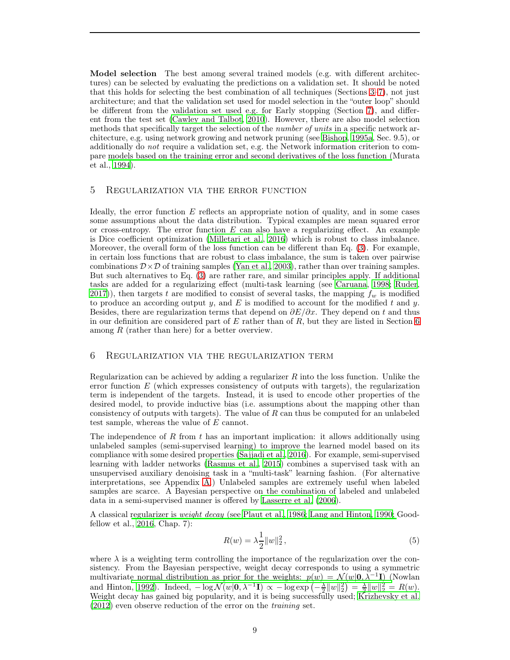<span id="page-8-3"></span>Model selection The best among several trained models (e.g. with different architectures) can be selected by evaluating the predictions on a validation set. It should be noted that this holds for selecting the best combination of all techniques (Sections [3–](#page-1-1)[7\)](#page-9-0), not just architecture; and that the validation set used for model selection in the "outer loop" should be different from the validation set used e.g. for Early stopping (Section [7\)](#page-9-0), and different from the test set [\(Cawley and Talbot, 2010\)](#page-15-9). However, there are also model selection methods that specifically target the selection of the *number of units* in a specific network architecture, e.g. using network growing and network pruning (see [Bishop, 1995a](#page-15-0), Sec. 9.5), or additionally do not require a validation set, e.g. the Network information criterion to compare [models based on the training error and second derivatives of the loss function \(](#page-18-7)Murata et al., [1994](#page-18-7)).

#### <span id="page-8-1"></span>5 Regularization via the error function

Ideally, the error function  $E$  reflects an appropriate notion of quality, and in some cases some assumptions about the data distribution. Typical examples are mean squared error or cross-entropy. The error function  $E$  can also have a regularizing effect. An example is Dice coefficient optimization [\(Milletari et al.](#page-18-8), [2016](#page-18-8)) which is robust to class imbalance. Moreover, the overall form of the loss function can be different than Eq. [\(3\)](#page-1-2). For example, in certain loss functions that are robust to class imbalance, the sum is taken over pairwise combinations  $\mathcal{D}\times\mathcal{D}$  of training samples [\(Yan et al., 2003](#page-20-13)), rather than over training samples. But such alternatives to Eq. [\(3\)](#page-1-2) are rather rare, and similar principles apply. If additional tasks are added for a regularizing effect (multi-task learning (see [Caruana, 1998;](#page-15-8) [Ruder](#page-19-6), [2017](#page-19-6)), then targets t are modified to consist of several tasks, the mapping  $f_w$  is modified to produce an according output y, and  $E$  is modified to account for the modified t and y. Besides, there are regularization terms that depend on  $\partial E/\partial x$ . They depend on t and thus in our definition are considered part of  $E$  rather than of  $R$ , but they are listed in Section [6](#page-8-0) among  $R$  (rather than here) for a better overview.

#### <span id="page-8-0"></span>6 Regularization via the regularization term

Regularization can be achieved by adding a regularizer  $R$  into the loss function. Unlike the error function  $E$  (which expresses consistency of outputs with targets), the regularization term is independent of the targets. Instead, it is used to encode other properties of the desired model, to provide inductive bias (i.e. assumptions about the mapping other than consistency of outputs with targets). The value of  $R$  can thus be computed for an unlabeled test sample, whereas the value of E cannot.

The independence of R from t has an important implication: it allows additionally using unlabeled samples (semi-supervised learning) to improve the learned model based on its compliance with some desired properties [\(Sajjadi et al., 2016](#page-19-9)). For example, semi-supervised learning with ladder networks [\(Rasmus et al., 2015\)](#page-19-7) combines a supervised task with an unsupervised auxiliary denoising task in a "multi-task" learning fashion. (For alternative interpretations, see Appendix [A.](#page-21-0)) Unlabeled samples are extremely useful when labeled samples are scarce. A Bayesian perspective on the combination of labeled and unlabeled data in a semi-supervised manner is offered by [Lasserre et al.](#page-17-9) [\(2006\)](#page-17-9).

A classical regularizer is weight decay [\(see](#page-16-0) [Plaut et al., 1986](#page-19-10)[;](#page-16-0) [Lang and Hinton](#page-17-10)[,](#page-16-0) [1990](#page-17-10)[;](#page-16-0) Goodfellow et al., [2016,](#page-16-0) Chap. 7):

<span id="page-8-2"></span>
$$
R(w) = \lambda \frac{1}{2} ||w||_2^2, \tag{5}
$$

where  $\lambda$  is a weighting term controlling the importance of the regularization over the consistency. From the Bayesian perspective, weight decay corresponds to using a symmetric multivariat[e normal distribution as prior for the weights:](#page-19-11)  $p(w) = \mathcal{N}(w|\mathbf{0}, \tilde{\lambda}^{-1}I)$  (Nowlan and Hinton, [1992\)](#page-19-11). Indeed,  $-\log \mathcal{N}(w|\mathbf{0}, \lambda^{-1}\mathbf{I}) \propto -\log \exp(-\frac{\lambda}{2}||w||_2^2) = \frac{\lambda}{2}||w||_2^2 = R(w)$ . Weight decay has gained big popularity, and it is being successfully used; [Krizhevsky et al.](#page-17-0) [\(2012](#page-17-0)) even observe reduction of the error on the training set.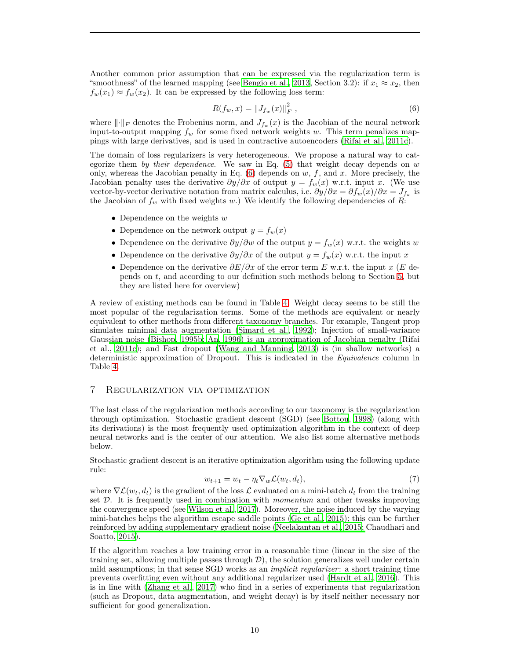<span id="page-9-2"></span>Another common prior assumption that can be expressed via the regularization term is "smoothness" of the learned mapping (see [Bengio et al.](#page-14-6), [2013](#page-14-6), Section 3.2): if  $x_1 \approx x_2$ , then  $f_w(x_1) \approx f_w(x_2)$ . It can be expressed by the following loss term:

<span id="page-9-1"></span>
$$
R(f_w, x) = ||J_{f_w}(x)||_F^2 , \qquad (6)
$$

where  $\lVert \cdot \rVert_F$  denotes the Frobenius norm, and  $J_{f_w}(x)$  is the Jacobian of the neural network input-to-output mapping  $f_w$  for some fixed network weights w. This term penalizes mappings with large derivatives, and is used in contractive autoencoders [\(Rifai et al.](#page-19-4), [2011c\)](#page-19-4).

The domain of loss regularizers is very heterogeneous. We propose a natural way to categorize them by their dependence. We saw in Eq.  $(5)$  that weight decay depends on w only, whereas the Jacobian penalty in Eq.  $(6)$  depends on  $w, f$ , and  $x$ . More precisely, the Jacobian penalty uses the derivative  $\partial y/\partial x$  of output  $y = f_w(x)$  w.r.t. input x. (We use vector-by-vector derivative notation from matrix calculus, i.e.  $\partial y/\partial x = \partial f_w(x)/\partial x = J_{f_w}$  is the Jacobian of  $f_w$  with fixed weights w.) We identify the following dependencies of R:

- Dependence on the weights  $w$
- Dependence on the network output  $y = f_w(x)$
- Dependence on the derivative  $\partial y/\partial w$  of the output  $y = f_w(x)$  w.r.t. the weights w
- Dependence on the derivative  $\partial y/\partial x$  of the output  $y = f_w(x)$  w.r.t. the input x
- Dependence on the derivative  $\partial E/\partial x$  of the error term E w.r.t. the input x (E depends on t, and according to our definition such methods belong to Section [5,](#page-8-1) but they are listed here for overview)

A review of existing methods can be found in Table [4.](#page-10-0) Weight decay seems to be still the most popular of the regularization terms. Some of the methods are equivalent or nearly equivalent to other methods from different taxonomy branches. For example, Tangent prop simulates minimal data augmentation [\(Simard et al.](#page-19-12), [1992\)](#page-19-12); Injection of small-variance Gaus[sian noise](#page-19-4) [\(Bishop, 1995b](#page-15-1)[;](#page-19-4) [An](#page-14-0)[,](#page-19-4) [1996](#page-14-0)[\) is an approximation of Jacobian penalty \(](#page-19-4)Rifai et al., [2011c\)](#page-19-4); and Fast dropout [\(Wang and Manning](#page-20-14), [2013\)](#page-20-14) is (in shallow networks) a deterministic approximation of Dropout. This is indicated in the Equivalence column in Table [4.](#page-10-0)

# <span id="page-9-0"></span>7 Regularization via optimization

The last class of the regularization methods according to our taxonomy is the regularization through optimization. Stochastic gradient descent (SGD) (see [Bottou, 1998\)](#page-15-10) (along with its derivations) is the most frequently used optimization algorithm in the context of deep neural networks and is the center of our attention. We also list some alternative methods below.

Stochastic gradient descent is an iterative optimization algorithm using the following update rule:

$$
w_{t+1} = w_t - \eta_t \nabla_w \mathcal{L}(w_t, d_t), \tag{7}
$$

where  $\nabla \mathcal{L}(w_t, d_t)$  is the gradient of the loss  $\mathcal{L}$  evaluated on a mini-batch  $d_t$  from the training set  $D$ . It is frequently used in combination with *momentum* and other tweaks improving the convergence speed (see [Wilson et al.](#page-20-15), [2017\)](#page-20-15). Moreover, the noise induced by the varying mini-batches helps the algorithm escape saddle points [\(Ge et al.](#page-16-10), [2015](#page-16-10)); this can be further reinfo[rced by adding supplementary gradient noise](#page-15-11) [\(Neelakantan et al.](#page-18-9)[,](#page-15-11) [2015](#page-18-9)[;](#page-15-11) Chaudhari and Soatto, [2015](#page-15-11)).

If the algorithm reaches a low training error in a reasonable time (linear in the size of the training set, allowing multiple passes through  $\mathcal{D}$ ), the solution generalizes well under certain mild assumptions; in that sense SGD works as an implicit regularizer: a short training time prevents overfitting even without any additional regularizer used [\(Hardt et al., 2016\)](#page-16-11). This is in line with [\(Zhang et al.](#page-21-2), [2017](#page-21-2)) who find in a series of experiments that regularization (such as Dropout, data augmentation, and weight decay) is by itself neither necessary nor sufficient for good generalization.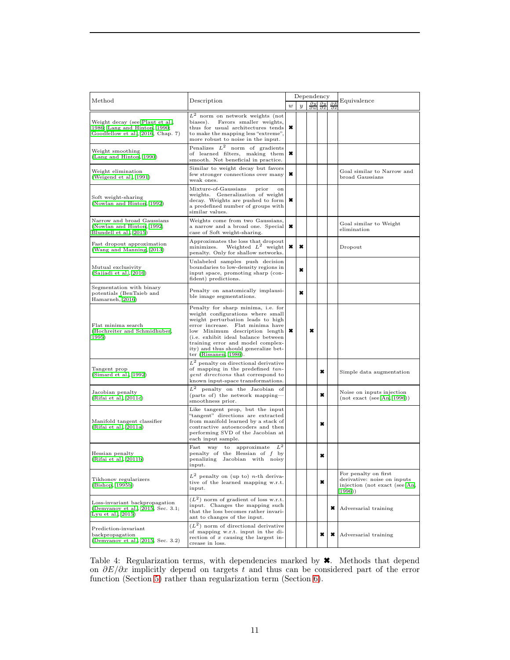<span id="page-10-1"></span><span id="page-10-0"></span>

|                                                                                                      |                                                                                                                                                                                                                                                                                                                                 |                  | Dependency                                       |   |                    |   |                                                                                               |  |
|------------------------------------------------------------------------------------------------------|---------------------------------------------------------------------------------------------------------------------------------------------------------------------------------------------------------------------------------------------------------------------------------------------------------------------------------|------------------|--------------------------------------------------|---|--------------------|---|-----------------------------------------------------------------------------------------------|--|
| Method                                                                                               | Description                                                                                                                                                                                                                                                                                                                     | $\boldsymbol{w}$ | $\partial y$<br>$\boldsymbol{y}$<br>$\partial w$ |   | Ӛy<br>$\partial x$ |   | Equivalence                                                                                   |  |
| Weight decay (see Plaut et al.,<br>1986; Lang and Hinton, 1990;<br>Goodfellow et al., 2016, Chap. 7) | $L^2$ norm on network weights (not<br>biases).<br>Favors smaller weights,<br>thus for usual architectures tends<br>to make the mapping less "extreme",<br>more robust to noise in the input.                                                                                                                                    | $\pmb{\ast}$     |                                                  |   |                    |   |                                                                                               |  |
| Weight smoothing<br>(Lang and Hinton, 1990)                                                          | Penalizes $L^2$<br>norm of gradients<br>of learned filters, making them<br>smooth. Not beneficial in practice.                                                                                                                                                                                                                  | ×                |                                                  |   |                    |   |                                                                                               |  |
| Weight elimination<br>(Weigend et al., 1991)                                                         | Similar to weight decay but favors<br>few stronger connections over many<br>weak ones.                                                                                                                                                                                                                                          | ×                |                                                  |   |                    |   | Goal similar to Narrow and<br>broad Gaussians                                                 |  |
| Soft weight-sharing<br>(Nowlan and Hinton, 1992)                                                     | Mixture-of-Gaussians<br>prior<br>on<br>weights. Generalization of weight<br>decay. Weights are pushed to form<br>a predefined number of groups with<br>similar values.                                                                                                                                                          | ×                |                                                  |   |                    |   |                                                                                               |  |
| Narrow and broad Gaussians<br>(Nowlan and Hinton, 1992;<br>Blundell et al., 2015)                    | Weights come from two Gaussians,<br>a narrow and a broad one. Special<br>case of Soft weight-sharing.                                                                                                                                                                                                                           | ×                |                                                  |   |                    |   | Goal similar to Weight<br>elimination                                                         |  |
| Fast dropout approximation<br>(Wang and Manning, 2013)                                               | Approximates the loss that dropout<br>Weighted $L^2$ weight<br>minimizes.<br>penalty. Only for shallow networks.                                                                                                                                                                                                                | ×                | ×                                                |   |                    |   | Dropout                                                                                       |  |
| Mutual exclusivity<br>(Sajjadi et al., 2016)                                                         | Unlabeled samples push decision<br>boundaries to low-density regions in<br>input space, promoting sharp (con-<br>fident) predictions.                                                                                                                                                                                           |                  | ×                                                |   |                    |   |                                                                                               |  |
| Segmentation with binary<br>potentials (BenTaieb and<br>Hamarneh, 2016)                              | Penalty on anatomically implausi-<br>ble image segmentations.                                                                                                                                                                                                                                                                   |                  | ×                                                |   |                    |   |                                                                                               |  |
| Flat minima search<br>(Hochreiter and Schmidhuber,<br>1995)                                          | Penalty for sharp minima, i.e. for<br>weight configurations where small<br>weight perturbation leads to high<br>error increase. Flat minima have<br>low Minimum description length<br>(i.e. exhibit ideal balance between<br>training error and model complex-<br>ity) and thus should generalize bet-<br>ter (Rissanen, 1986). | ×                |                                                  | × |                    |   |                                                                                               |  |
| Tangent prop<br>(Simard et al., 1992)                                                                | $L^2$ penalty on directional derivative<br>of mapping in the predefined tan-<br><i>gent directions</i> that correspond to<br>known input-space transformations.                                                                                                                                                                 |                  |                                                  |   | ×                  |   | Simple data augmentation                                                                      |  |
| Jacobian penalty<br>(Rifai et al., 2011c)                                                            | $L^2$ penalty on the Jacobian of<br>(parts of) the network mapping-<br>smoothness prior.                                                                                                                                                                                                                                        |                  |                                                  |   | ×                  |   | Noise on inputs injection<br>(not exact (see An, 1996))                                       |  |
| Manifold tangent classifier<br>(Rifai et al., 2011a)                                                 | Like tangent prop, but the input<br>"tangent" directions are extracted<br>from manifold learned by a stack of<br>contractive autoencoders and then<br>performing SVD of the Jacobian at<br>each input sample.                                                                                                                   |                  |                                                  |   | ×                  |   |                                                                                               |  |
| Hessian penalty<br>(Rifai et al., 2011b)                                                             | $L^2$<br>approximate<br>Fast<br>way<br>to<br>penalty of the Hessian of f by<br>penalizing Jacobian with noisy<br>input.                                                                                                                                                                                                         |                  |                                                  |   | ×                  |   |                                                                                               |  |
| Tikhonov regularizers<br>(Bishop, 1995b)                                                             | $L^2$ penalty on (up to) <i>n</i> -th deriva-<br>tive of the learned mapping w.r.t.<br>input.                                                                                                                                                                                                                                   |                  |                                                  |   | ×                  |   | For penalty on first<br>derivative: noise on inputs<br>injection (not exact (see An,<br>1996) |  |
| Loss-invariant backpropagation<br>(Demyanov et al., 2015, Sec. 3.1;<br>Lyu et al., $2015$ )          | $(L2)$ norm of gradient of loss w.r.t.<br>input. Changes the mapping such<br>that the loss becomes rather invari-<br>ant to changes of the input.                                                                                                                                                                               |                  |                                                  |   |                    | × | Adversarial training                                                                          |  |
| Prediction-invariant<br>backpropagation<br>(Demyanov et al., 2015, Sec. 3.2)                         | $(L2)$ norm of directional derivative<br>of mapping w.r.t. input in the di-<br>rection of $x$ causing the largest in-<br>crease in loss.                                                                                                                                                                                        |                  |                                                  |   | ×                  | × | Adversarial training                                                                          |  |

Table 4: Regularization terms, with dependencies marked by  $\blacktriangleright$ . Methods that depend on  $\partial E/\partial x$  implicitly depend on targets t and thus can be considered part of the error function (Section [5\)](#page-8-1) rather than regularization term (Section [6\)](#page-8-0).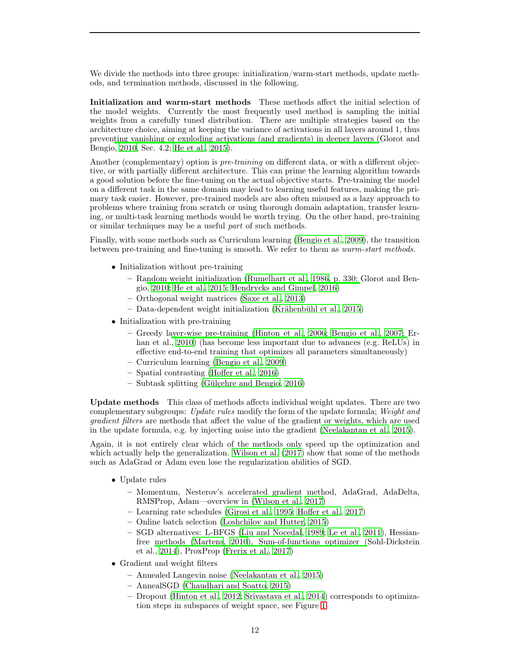<span id="page-11-0"></span>We divide the methods into three groups: initialization/warm-start methods, update methods, and termination methods, discussed in the following.

Initialization and warm-start methods These methods affect the initial selection of the model weights. Currently the most frequently used method is sampling the initial weights from a carefully tuned distribution. There are multiple strategies based on the architecture choice, aiming at keeping the variance of activations in all layers around 1, thus preven[ting vanishing or exploding activations \(and gradients\) in deeper layers \(](#page-16-12)Glorot and Bengio, [2010](#page-16-12), Sec. 4.2; [He et al.](#page-16-13), [2015\)](#page-16-13).

Another (complementary) option is *pre-training* on different data, or with a different objective, or with partially different architecture. This can prime the learning algorithm towards a good solution before the fine-tuning on the actual objective starts. Pre-training the model on a different task in the same domain may lead to learning useful features, making the primary task easier. However, pre-trained models are also often misused as a lazy approach to problems where training from scratch or using thorough domain adaptation, transfer learning, or multi-task learning methods would be worth trying. On the other hand, pre-training or similar techniques may be a useful part of such methods.

Finally, with some methods such as Curriculum learning [\(Bengio et al., 2009](#page-15-15)), the transition between pre-training and fine-tuning is smooth. We refer to them as warm-start methods.

- Initialization without pre-training
	- Ra[ndom weight initialization](#page-16-12) [\(Rumelhart et al.](#page-19-5)[,](#page-16-12) [1986](#page-19-5)[, p. 330;](#page-16-12) Glorot and Bengio, [2010;](#page-16-12) [He et al.](#page-16-13), [2015](#page-16-13); [Hendrycks and Gimpel](#page-17-12), [2016](#page-17-12))
	- Orthogonal weight matrices [\(Saxe et al.](#page-19-16), [2013\)](#page-19-16)
	- Data-dependent weight initialization [\(Krähenbühl et al.,](#page-17-13) [2015](#page-17-13))
- Initialization with pre-training
	- Greedy l[ayer-wise pre-training](#page-15-17) [\(Hinton et al.](#page-17-14)[,](#page-15-17) [2006](#page-17-14)[;](#page-15-17) [Bengio et al.](#page-15-16)[,](#page-15-17) [2007](#page-15-16)[;](#page-15-17) Erhan et al., [2010](#page-15-17)) (has become less important due to advances (e.g. ReLUs) in effective end-to-end training that optimizes all parameters simultaneously)
	- Curriculum learning [\(Bengio et al.](#page-15-15), [2009](#page-15-15))
	- Spatial contrasting [\(Hoffer et al.](#page-17-15), [2016\)](#page-17-15)
	- Subtask splitting [\(Gülçehre and Bengio](#page-16-14), [2016\)](#page-16-14)

Update methods This class of methods affects individual weight updates. There are two complementary subgroups: Update rules modify the form of the update formula; Weight and gradient filters are methods that affect the value of the gradient or weights, which are used in the update formula, e.g. by injecting noise into the gradient [\(Neelakantan et al.](#page-18-9), [2015\)](#page-18-9).

Again, it is not entirely clear which of the methods only speed up the optimization and which actually help the generalization. [Wilson et al. \(2017\)](#page-20-15) show that some of the methods such as AdaGrad or Adam even lose the regularization abilities of SGD.

- Update rules
	- Momentum, Nesterov's accelerated gradient method, AdaGrad, AdaDelta, RMSProp, Adam—overview in [\(Wilson et al.](#page-20-15), [2017](#page-20-15))
	- Learning rate schedules [\(Girosi et al.](#page-16-15), [1995](#page-16-15); [Hoffer et al.](#page-17-5), [2017](#page-17-5))
	- Online batch selection [\(Loshchilov and Hutter](#page-18-11), [2015](#page-18-11))
	- SGD alternatives: L-BFGS [\(Liu and Nocedal](#page-18-12), [1989;](#page-18-12) [Le et al.](#page-18-13), [2011\)](#page-18-13), Hessianfree methods [\(Martens](#page-18-14), [2010](#page-18-14)), Sum-of-functions optimizer (Sohl-Dickstein et al., [2014](#page-20-17)), ProxProp [\(Frerix et al.](#page-16-16), [2017](#page-16-16))
- Gradient and weight filters
	- Annealed Langevin noise [\(Neelakantan et al., 2015\)](#page-18-9)
	- AnnealSGD [\(Chaudhari and Soatto, 2015\)](#page-15-11)
	- Dropout [\(Hinton et al., 2012;](#page-17-2) [Srivastava et al., 2014\)](#page-20-1) corresponds to optimization steps in subspaces of weight space, see Figure [1](#page-12-1)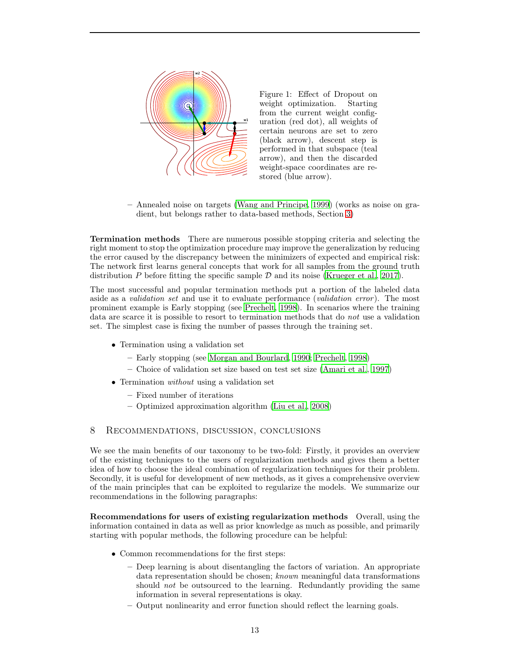<span id="page-12-2"></span><span id="page-12-1"></span>

Figure 1: Effect of Dropout on weight optimization. Starting from the current weight configuration (red dot), all weights of certain neurons are set to zero (black arrow), descent step is performed in that subspace (teal arrow), and then the discarded weight-space coordinates are restored (blue arrow).

– Annealed noise on targets [\(Wang and Principe, 1999\)](#page-20-5) (works as noise on gradient, but belongs rather to data-based methods, Section [3\)](#page-1-1)

Termination methods There are numerous possible stopping criteria and selecting the right moment to stop the optimization procedure may improve the generalization by reducing the error caused by the discrepancy between the minimizers of expected and empirical risk: The network first learns general concepts that work for all samples from the ground truth distribution  $P$  before fitting the specific sample  $D$  and its noise [\(Krueger et al.](#page-17-16), [2017](#page-17-16)).

The most successful and popular termination methods put a portion of the labeled data aside as a *validation set* and use it to evaluate performance *(validation error)*. The most prominent example is Early stopping (see [Prechelt, 1998](#page-19-17)). In scenarios where the training data are scarce it is possible to resort to termination methods that do not use a validation set. The simplest case is fixing the number of passes through the training set.

- Termination using a validation set
	- Early stopping (see [Morgan and Bourlard](#page-18-15), [1990](#page-18-15); [Prechelt, 1998](#page-19-17))
	- Choice of validation set size based on test set size [\(Amari et](#page-14-7) al., [1997\)](#page-14-7)
- Termination *without* using a validation set
	- Fixed number of iterations
	- Optimized approximation algorithm [\(Liu et al.](#page-18-16), [2008](#page-18-16))

# <span id="page-12-0"></span>8 Recommendations, discussion, conclusions

We see the main benefits of our taxonomy to be two-fold: Firstly, it provides an overview of the existing techniques to the users of regularization methods and gives them a better idea of how to choose the ideal combination of regularization techniques for their problem. Secondly, it is useful for development of new methods, as it gives a comprehensive overview of the main principles that can be exploited to regularize the models. We summarize our recommendations in the following paragraphs:

Recommendations for users of existing regularization methods Overall, using the information contained in data as well as prior knowledge as much as possible, and primarily starting with popular methods, the following procedure can be helpful:

- Common recommendations for the first steps:
	- Deep learning is about disentangling the factors of variation. An appropriate data representation should be chosen; known meaningful data transformations should not be outsourced to the learning. Redundantly providing the same information in several representations is okay.
	- Output nonlinearity and error function should reflect the learning goals.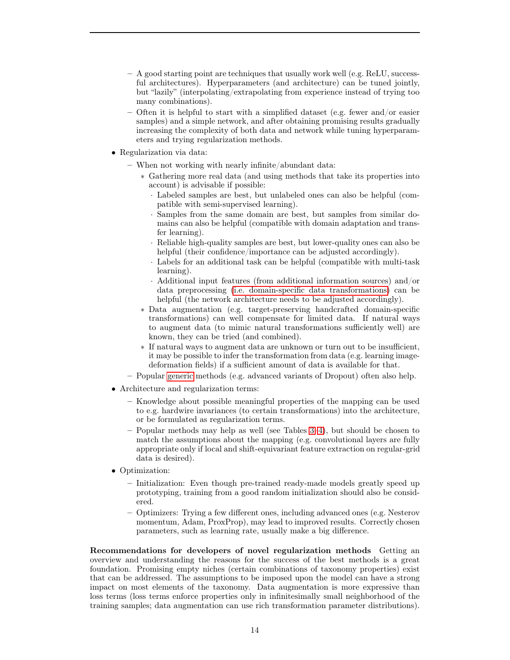- A good starting point are techniques that usually work well (e.g. ReLU, successful architectures). Hyperparameters (and architecture) can be tuned jointly, but "lazily" (interpolating/extrapolating from experience instead of trying too many combinations).
- Often it is helpful to start with a simplified dataset (e.g. fewer and/or easier samples) and a simple network, and after obtaining promising results gradually increasing the complexity of both data and network while tuning hyperparameters and trying regularization methods.
- Regularization via data:
	- When not working with nearly infinite/abundant data:
		- ∗ Gathering more real data (and using methods that take its properties into account) is advisable if possible:
			- · Labeled samples are best, but unlabeled ones can also be helpful (compatible with semi-supervised learning).
			- · Samples from the same domain are best, but samples from similar domains can also be helpful (compatible with domain adaptation and transfer learning).
			- · Reliable high-quality samples are best, but lower-quality ones can also be helpful (their confidence/importance can be adjusted accordingly).
			- · Labels for an additional task can be helpful (compatible with multi-task learning).
			- Additional input features (from additional information sources) and/or data preprocessing [\(i.e. domain-specific data transformations\)](#page-3-1) can be helpful (the network architecture needs to be adjusted accordingly).
		- ∗ Data augmentation (e.g. target-preserving handcrafted domain-specific transformations) can well compensate for limited data. If natural ways to augment data (to mimic natural transformations sufficiently well) are known, they can be tried (and combined).
		- ∗ If natural ways to augment data are unknown or turn out to be insufficient, it may be possible to infer the transformation from data (e.g. learning imagedeformation fields) if a sufficient amount of data is available for that.
	- Popular [generic](#page-3-1) methods (e.g. advanced variants of Dropout) often also help.
- Architecture and regularization terms:
	- Knowledge about possible meaningful properties of the mapping can be used to e.g. hardwire invariances (to certain transformations) into the architecture, or be formulated as regularization terms.
	- Popular methods may help as well (see Tables [3](#page-6-0)[–4\)](#page-10-0), but should be chosen to match the assumptions about the mapping (e.g. convolutional layers are fully appropriate only if local and shift-equivariant feature extraction on regular-grid data is desired).
- Optimization:
	- Initialization: Even though pre-trained ready-made models greatly speed up prototyping, training from a good random initialization should also be considered.
	- Optimizers: Trying a few different ones, including advanced ones (e.g. Nesterov momentum, Adam, ProxProp), may lead to improved results. Correctly chosen parameters, such as learning rate, usually make a big difference.

Recommendations for developers of novel regularization methods Getting an overview and understanding the reasons for the success of the best methods is a great foundation. Promising empty niches (certain combinations of taxonomy properties) exist that can be addressed. The assumptions to be imposed upon the model can have a strong impact on most elements of the taxonomy. Data augmentation is more expressive than loss terms (loss terms enforce properties only in infinitesimally small neighborhood of the training samples; data augmentation can use rich transformation parameter distributions).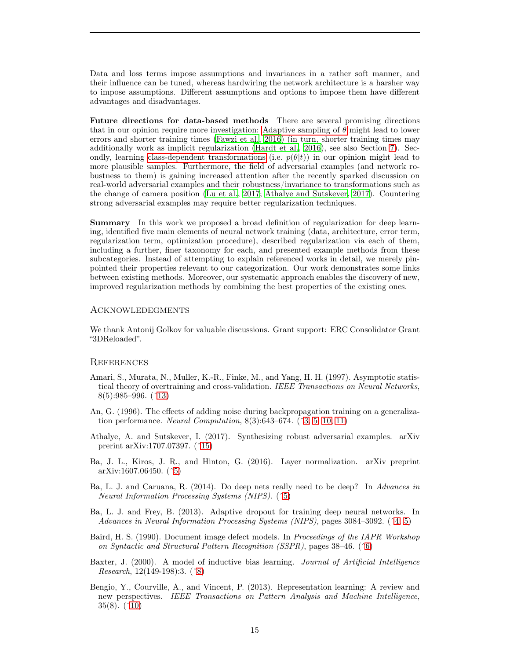<span id="page-14-9"></span>Data and loss terms impose assumptions and invariances in a rather soft manner, and their influence can be tuned, whereas hardwiring the network architecture is a harsher way to impose assumptions. Different assumptions and options to impose them have different advantages and disadvantages.

Future directions for data-based methods There are several promising directions that in our opinion require more investigation: [Adaptive sampling of](#page-2-1)  $\theta$  might lead to lower errors and shorter training times [\(Fawzi et al., 2016\)](#page-16-3) (in turn, shorter training times may additionally work as implicit regularization [\(Hardt et al., 2016](#page-16-11)), see also Section [7\)](#page-9-0). Secondly, learning [class-dependent transformations](#page-3-2) (i.e.  $p(\theta|t)$ ) in our opinion might lead to more plausible samples. Furthermore, the field of adversarial examples (and network robustness to them) is gaining increased attention after the recently sparked discussion on real-world adversarial examples and their robustness/invariance to transformations such as the change of camera position [\(Lu et al.](#page-18-17), [2017;](#page-18-17) [Athalye and Sutskever](#page-14-8), [2017\)](#page-14-8). Countering strong adversarial examples may require better regularization techniques.

Summary In this work we proposed a broad definition of regularization for deep learning, identified five main elements of neural network training (data, architecture, error term, regularization term, optimization procedure), described regularization via each of them, including a further, finer taxonomy for each, and presented example methods from these subcategories. Instead of attempting to explain referenced works in detail, we merely pinpointed their properties relevant to our categorization. Our work demonstrates some links between existing methods. Moreover, our systematic approach enables the discovery of new, improved regularization methods by combining the best properties of the existing ones.

#### Acknowledegments

We thank Antonij Golkov for valuable discussions. Grant support: ERC Consolidator Grant "3DReloaded".

#### **REFERENCES**

- <span id="page-14-7"></span>Amari, S., Murata, N., Muller, K.-R., Finke, M., and Yang, H. H. (1997). Asymptotic statistical theory of overtraining and cross-validation. IEEE Transactions on Neural Networks, 8(5):985–996. ([ˆ13\)](#page-12-2)
- <span id="page-14-0"></span>An, G. (1996). The effects of adding noise during backpropagation training on a generalization performance. *Neural Computation*,  $8(3):643-674.$   $(*3, 5, 10, 11)$  $(*3, 5, 10, 11)$  $(*3, 5, 10, 11)$  $(*3, 5, 10, 11)$
- <span id="page-14-8"></span>Athalye, A. and Sutskever, I. (2017). Synthesizing robust adversarial examples. arXiv prerint arXiv:1707.07397. ([ˆ15\)](#page-14-9)
- <span id="page-14-2"></span>Ba, J. L., Kiros, J. R., and Hinton, G. (2016). Layer normalization. arXiv preprint arXiv:1607.06450. ([ˆ5\)](#page-4-1)
- <span id="page-14-3"></span>Ba, L. J. and Caruana, R. (2014). Do deep nets really need to be deep? In Advances in Neural Information Processing Systems (NIPS). ([ˆ5\)](#page-4-1)
- <span id="page-14-1"></span>Ba, L. J. and Frey, B. (2013). Adaptive dropout for training deep neural networks. In Advances in Neural Information Processing Systems (NIPS), pages 3084–3092. ([ˆ4,](#page-3-3) [5\)](#page-4-1)
- <span id="page-14-4"></span>Baird, H. S. (1990). Document image defect models. In Proceedings of the IAPR Workshop on Syntactic and Structural Pattern Recognition (SSPR), pages 38–46. ([ˆ6\)](#page-5-3)
- <span id="page-14-5"></span>Baxter, J. (2000). A model of inductive bias learning. Journal of Artificial Intelligence Research, 12(149-198):3. ([ˆ8\)](#page-7-1)
- <span id="page-14-6"></span>Bengio, Y., Courville, A., and Vincent, P. (2013). Representation learning: A review and new perspectives. IEEE Transactions on Pattern Analysis and Machine Intelligence, 35(8). ([ˆ10\)](#page-9-2)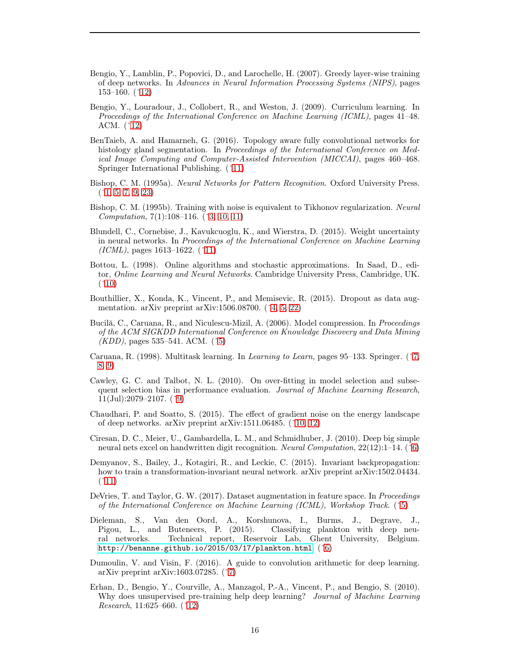- <span id="page-15-16"></span>Bengio, Y., Lamblin, P., Popovici, D., and Larochelle, H. (2007). Greedy layer-wise training of deep networks. In Advances in Neural Information Processing Systems (NIPS), pages 153–160. ([ˆ12\)](#page-11-0)
- <span id="page-15-15"></span>Bengio, Y., Louradour, J., Collobert, R., and Weston, J. (2009). Curriculum learning. In Proceedings of the International Conference on Machine Learning (ICML), pages 41–48. ACM. ([ˆ12\)](#page-11-0)
- <span id="page-15-13"></span>BenTaieb, A. and Hamarneh, G. (2016). Topology aware fully convolutional networks for histology gland segmentation. In Proceedings of the International Conference on Medical Image Computing and Computer-Assisted Intervention (MICCAI), pages 460–468. Springer International Publishing. ([ˆ11\)](#page-10-1)
- <span id="page-15-0"></span>Bishop, C. M. (1995a). Neural Networks for Pattern Recognition. Oxford University Press.  $(1, 5, 7, 9, 23)$  $(1, 5, 7, 9, 23)$  $(1, 5, 7, 9, 23)$  $(1, 5, 7, 9, 23)$  $(1, 5, 7, 9, 23)$
- <span id="page-15-1"></span>Bishop, C. M. (1995b). Training with noise is equivalent to Tikhonov regularization. Neural Computation, 7(1):108–116. ([ˆ3,](#page-2-3) [10,](#page-9-2) [11\)](#page-10-1)
- <span id="page-15-12"></span>Blundell, C., Cornebise, J., Kavukcuoglu, K., and Wierstra, D. (2015). Weight uncertainty in neural networks. In Proceedings of the International Conference on Machine Learning  $(ICML)$ , pages 1613–1622. (^11)
- <span id="page-15-10"></span>Bottou, L. (1998). Online algorithms and stochastic approximations. In Saad, D., editor, Online Learning and Neural Networks. Cambridge University Press, Cambridge, UK.  $($  ^10)
- <span id="page-15-2"></span>Bouthillier, X., Konda, K., Vincent, P., and Memisevic, R. (2015). Dropout as data augmentation. arXiv preprint arXiv:1506.08700.  $(2, 5, 22)$  $(2, 5, 22)$  $(2, 5, 22)$
- <span id="page-15-4"></span>Bucilă, C., Caruana, R., and Niculescu-Mizil, A. (2006). Model compression. In *Proceedings* of the ACM SIGKDD International Conference on Knowledge Discovery and Data Mining  $(KDD)$ , pages 535–541. ACM. (^5)
- <span id="page-15-8"></span>Caruana, R. (1998). Multitask learning. In Learning to Learn, pages 95–133. Springer. ([ˆ7,](#page-6-1) [8,](#page-7-1) [9\)](#page-8-3)
- <span id="page-15-9"></span>Cawley, G. C. and Talbot, N. L. (2010). On over-fitting in model selection and subsequent selection bias in performance evaluation. Journal of Machine Learning Research,  $11$ (Jul):2079–2107. (^9)
- <span id="page-15-11"></span>Chaudhari, P. and Soatto, S. (2015). The effect of gradient noise on the energy landscape of deep networks. arXiv preprint arXiv:1511.06485. ([ˆ10,](#page-9-2) [12\)](#page-11-0)
- <span id="page-15-5"></span>Ciresan, D. C., Meier, U., Gambardella, L. M., and Schmidhuber, J. (2010). Deep big simple neural nets excel on handwritten digit recognition. Neural Computation, 22(12):1–14. ([ˆ6\)](#page-5-3)
- <span id="page-15-14"></span>Demyanov, S., Bailey, J., Kotagiri, R., and Leckie, C. (2015). Invariant backpropagation: how to train a transformation-invariant neural network. arXiv preprint arXiv:1502.04434.  $(11)$
- <span id="page-15-3"></span>DeVries, T. and Taylor, G. W. (2017). Dataset augmentation in feature space. In Proceedings of the International Conference on Machine Learning (ICML), Workshop Track. ([ˆ5\)](#page-4-1)
- <span id="page-15-6"></span>Dieleman, S., Van den Oord, A., Korshunova, I., Burms, J., Degrave, J., Pigou, L., and Buteneers, P. (2015). Classifying plankton with deep neural networks. Technical report, Reservoir Lab, Ghent University, Belgium. <http://benanne.github.io/2015/03/17/plankton.html>. ([ˆ6\)](#page-5-3)
- <span id="page-15-7"></span>Dumoulin, V. and Visin, F. (2016). A guide to convolution arithmetic for deep learning. arXiv preprint arXiv:1603.07285. ([ˆ7\)](#page-6-1)
- <span id="page-15-17"></span>Erhan, D., Bengio, Y., Courville, A., Manzagol, P.-A., Vincent, P., and Bengio, S. (2010). Why does unsupervised pre-training help deep learning? Journal of Machine Learning Research, 11:625–660. ([ˆ12\)](#page-11-0)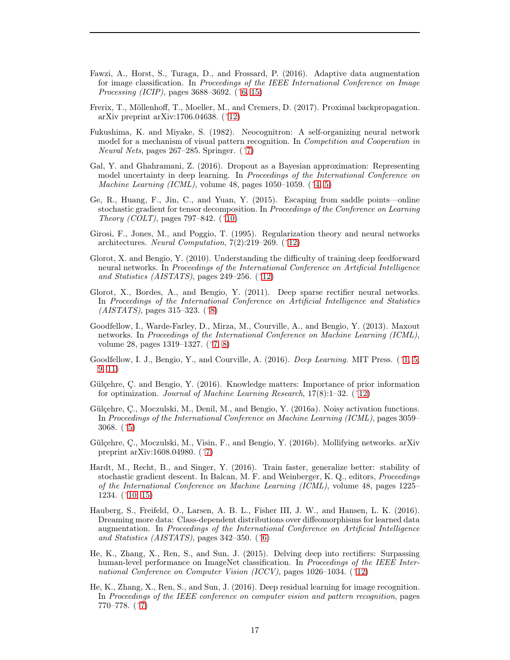- <span id="page-16-3"></span>Fawzi, A., Horst, S., Turaga, D., and Frossard, P. (2016). Adaptive data augmentation for image classification. In *Proceedings of the IEEE International Conference on Image* Processing (ICIP), pages 3688–3692. ([ˆ6,](#page-5-3) [15\)](#page-14-9)
- <span id="page-16-16"></span>Frerix, T., Möllenhoff, T., Moeller, M., and Cremers, D. (2017). Proximal backpropagation. arXiv preprint arXiv:1706.04638. ([ˆ12\)](#page-11-0)
- <span id="page-16-5"></span>Fukushima, K. and Miyake, S. (1982). Neocognitron: A self-organizing neural network model for a mechanism of visual pattern recognition. In *Competition and Cooperation in* Neural Nets, pages 267–285. Springer. ([ˆ7\)](#page-6-1)
- <span id="page-16-1"></span>Gal, Y. and Ghahramani, Z. (2016). Dropout as a Bayesian approximation: Representing model uncertainty in deep learning. In *Proceedings of the International Conference on Machine Learning (ICML)*, volume 48, pages 1050–1059.  $(^{4}, 5)$  $(^{4}, 5)$
- <span id="page-16-10"></span>Ge, R., Huang, F., Jin, C., and Yuan, Y. (2015). Escaping from saddle points—online stochastic gradient for tensor decomposition. In Proceedings of the Conference on Learning Theory (COLT), pages  $797-842$ . (^10)
- <span id="page-16-15"></span>Girosi, F., Jones, M., and Poggio, T. (1995). Regularization theory and neural networks architectures. Neural Computation, 7(2):219–269. ([ˆ12\)](#page-11-0)
- <span id="page-16-12"></span>Glorot, X. and Bengio, Y. (2010). Understanding the difficulty of training deep feedforward neural networks. In Proceedings of the International Conference on Artificial Intelligence and Statistics (AISTATS), pages  $249-256$ . ( $\hat{12}$ )
- <span id="page-16-9"></span>Glorot, X., Bordes, A., and Bengio, Y. (2011). Deep sparse rectifier neural networks. In Proceedings of the International Conference on Artificial Intelligence and Statistics (AISTATS), pages 315–323. ([ˆ8\)](#page-7-1)
- <span id="page-16-6"></span>Goodfellow, I., Warde-Farley, D., Mirza, M., Courville, A., and Bengio, Y. (2013). Maxout networks. In Proceedings of the International Conference on Machine Learning (ICML), volume 28, pages 1319–1327. ([ˆ7,](#page-6-1) [8\)](#page-7-1)
- <span id="page-16-0"></span>Goodfellow, I. J., Bengio, Y., and Courville, A. (2016). *Deep Learning*. MIT Press. (^1, [5,](#page-4-1) [9,](#page-8-3) [11\)](#page-10-1)
- <span id="page-16-14"></span>Gülçehre, Ç. and Bengio, Y. (2016). Knowledge matters: Importance of prior information for optimization. Journal of Machine Learning Research, 17(8):1–32. ([ˆ12\)](#page-11-0)
- <span id="page-16-2"></span>Gülçehre, Ç., Moczulski, M., Denil, M., and Bengio, Y. (2016a). Noisy activation functions. In Proceedings of the International Conference on Machine Learning (ICML), pages 3059– 3068. ([ˆ5\)](#page-4-1)
- <span id="page-16-8"></span>Gülçehre, Ç., Moczulski, M., Visin, F., and Bengio, Y. (2016b). Mollifying networks. arXiv preprint arXiv:1608.04980. ([ˆ7\)](#page-6-1)
- <span id="page-16-11"></span>Hardt, M., Recht, B., and Singer, Y. (2016). Train faster, generalize better: stability of stochastic gradient descent. In Balcan, M. F. and Weinberger, K. Q., editors, Proceedings of the International Conference on Machine Learning (ICML), volume 48, pages 1225– 1234. ([ˆ10,](#page-9-2) [15\)](#page-14-9)
- <span id="page-16-4"></span>Hauberg, S., Freifeld, O., Larsen, A. B. L., Fisher III, J. W., and Hansen, L. K. (2016). Dreaming more data: Class-dependent distributions over diffeomorphisms for learned data augmentation. In Proceedings of the International Conference on Artificial Intelligence and Statistics (AISTATS), pages  $342-350$ . ( $\hat{6}$ )
- <span id="page-16-13"></span>He, K., Zhang, X., Ren, S., and Sun, J. (2015). Delving deep into rectifiers: Surpassing human-level performance on ImageNet classification. In *Proceedings of the IEEE Inter*national Conference on Computer Vision (ICCV), pages 1026–1034. ([ˆ12\)](#page-11-0)
- <span id="page-16-7"></span>He, K., Zhang, X., Ren, S., and Sun, J. (2016). Deep residual learning for image recognition. In Proceedings of the IEEE conference on computer vision and pattern recognition, pages 770–778. ([ˆ7\)](#page-6-1)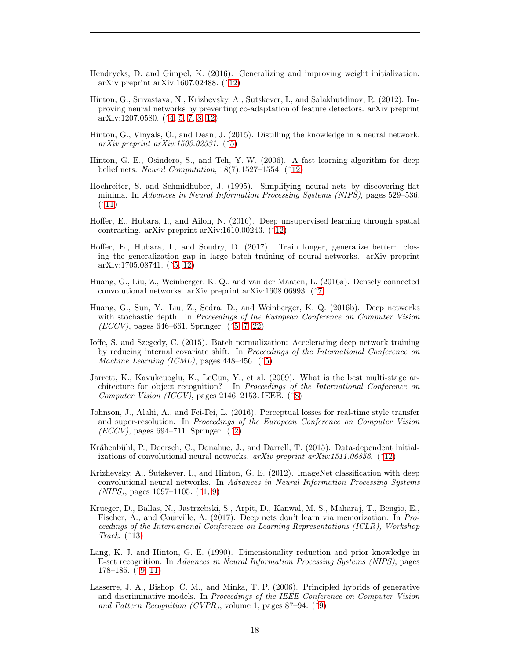- <span id="page-17-12"></span>Hendrycks, D. and Gimpel, K. (2016). Generalizing and improving weight initialization. arXiv preprint arXiv:1607.02488. ([ˆ12\)](#page-11-0)
- <span id="page-17-2"></span>Hinton, G., Srivastava, N., Krizhevsky, A., Sutskever, I., and Salakhutdinov, R. (2012). Improving neural networks by preventing co-adaptation of feature detectors. arXiv preprint arXiv:1207.0580. ([ˆ4,](#page-3-3) [5,](#page-4-1) [7,](#page-6-1) [8,](#page-7-1) [12\)](#page-11-0)
- <span id="page-17-6"></span>Hinton, G., Vinyals, O., and Dean, J. (2015). Distilling the knowledge in a neural network. arXiv preprint arXiv:1503.02531.  $(^{\circ}5)$
- <span id="page-17-14"></span>Hinton, G. E., Osindero, S., and Teh, Y.-W. (2006). A fast learning algorithm for deep belief nets. Neural Computation,  $18(7):1527-1554.$  (^12)
- <span id="page-17-11"></span>Hochreiter, S. and Schmidhuber, J. (1995). Simplifying neural nets by discovering flat minima. In Advances in Neural Information Processing Systems (NIPS), pages 529–536.  $(11)$
- <span id="page-17-15"></span>Hoffer, E., Hubara, I., and Ailon, N. (2016). Deep unsupervised learning through spatial contrasting. arXiv preprint arXiv:1610.00243. ([ˆ12\)](#page-11-0)
- <span id="page-17-5"></span>Hoffer, E., Hubara, I., and Soudry, D. (2017). Train longer, generalize better: closing the generalization gap in large batch training of neural networks. arXiv preprint arXiv:1705.08741. ([ˆ5,](#page-4-1) [12\)](#page-11-0)
- <span id="page-17-7"></span>Huang, G., Liu, Z., Weinberger, K. Q., and van der Maaten, L. (2016a). Densely connected convolutional networks. arXiv preprint arXiv:1608.06993. ([ˆ7\)](#page-6-1)
- <span id="page-17-3"></span>Huang, G., Sun, Y., Liu, Z., Sedra, D., and Weinberger, K. Q. (2016b). Deep networks with stochastic depth. In Proceedings of the European Conference on Computer Vision  $(ECCV)$ , pages 646–661. Springer.  $(5, 7, 22)$  $(5, 7, 22)$  $(5, 7, 22)$
- <span id="page-17-4"></span>Ioffe, S. and Szegedy, C. (2015). Batch normalization: Accelerating deep network training by reducing internal covariate shift. In Proceedings of the International Conference on Machine Learning (ICML), pages 448–456. (^5)
- <span id="page-17-8"></span>Jarrett, K., Kavukcuoglu, K., LeCun, Y., et al. (2009). What is the best multi-stage architecture for object recognition? In Proceedings of the International Conference on Computer Vision (ICCV), pages  $2146-2153$ . IEEE. (^8)
- <span id="page-17-1"></span>Johnson, J., Alahi, A., and Fei-Fei, L. (2016). Perceptual losses for real-time style transfer and super-resolution. In Proceedings of the European Conference on Computer Vision  $(ECCV)$ , pages 694–711. Springer. (^2)
- <span id="page-17-13"></span>Krähenbühl, P., Doersch, C., Donahue, J., and Darrell, T. (2015). Data-dependent initializations of convolutional neural networks.  $arXiv$  preprint  $arXiv:1511.06856.$  (^12)
- <span id="page-17-0"></span>Krizhevsky, A., Sutskever, I., and Hinton, G. E. (2012). ImageNet classification with deep convolutional neural networks. In Advances in Neural Information Processing Systems  $(NIPS)$ , pages 1097–1105.  $(1, 9)$  $(1, 9)$
- <span id="page-17-16"></span>Krueger, D., Ballas, N., Jastrzebski, S., Arpit, D., Kanwal, M. S., Maharaj, T., Bengio, E., Fischer, A., and Courville, A. (2017). Deep nets don't learn via memorization. In Proceedings of the International Conference on Learning Representations (ICLR), Workshop Track. ([ˆ13\)](#page-12-2)
- <span id="page-17-10"></span>Lang, K. J. and Hinton, G. E. (1990). Dimensionality reduction and prior knowledge in E-set recognition. In Advances in Neural Information Processing Systems (NIPS), pages 178–185. ([ˆ9,](#page-8-3) [11\)](#page-10-1)
- <span id="page-17-9"></span>Lasserre, J. A., Bishop, C. M., and Minka, T. P. (2006). Principled hybrids of generative and discriminative models. In Proceedings of the IEEE Conference on Computer Vision and Pattern Recognition (CVPR), volume 1, pages 87–94. (^9)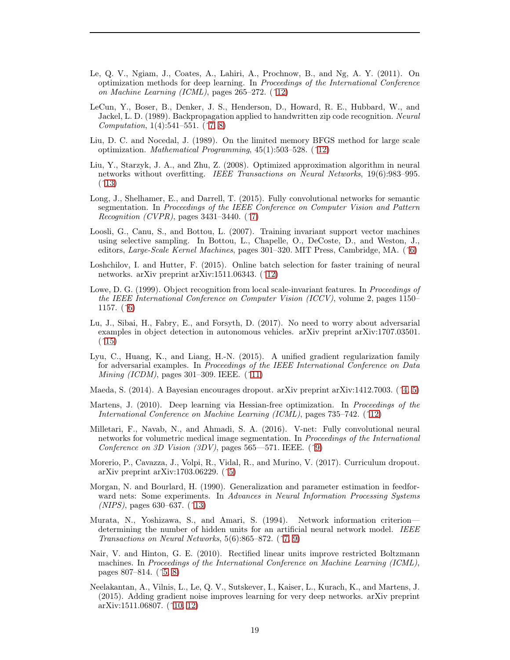- <span id="page-18-13"></span>Le, Q. V., Ngiam, J., Coates, A., Lahiri, A., Prochnow, B., and Ng, A. Y. (2011). On optimization methods for deep learning. In Proceedings of the International Conference on Machine Learning (ICML), pages 265–272. ([ˆ12\)](#page-11-0)
- <span id="page-18-5"></span>LeCun, Y., Boser, B., Denker, J. S., Henderson, D., Howard, R. E., Hubbard, W., and Jackel, L. D. (1989). Backpropagation applied to handwritten zip code recognition. Neural Computation, 1(4):541–551. ([ˆ7,](#page-6-1) [8\)](#page-7-1)
- <span id="page-18-12"></span>Liu, D. C. and Nocedal, J. (1989). On the limited memory BFGS method for large scale optimization. Mathematical Programming, 45(1):503–528. ([ˆ12\)](#page-11-0)
- <span id="page-18-16"></span>Liu, Y., Starzyk, J. A., and Zhu, Z. (2008). Optimized approximation algorithm in neural networks without overfitting. IEEE Transactions on Neural Networks, 19(6):983–995.  $(13)$
- <span id="page-18-6"></span>Long, J., Shelhamer, E., and Darrell, T. (2015). Fully convolutional networks for semantic segmentation. In Proceedings of the IEEE Conference on Computer Vision and Pattern Recognition (CVPR), pages  $3431-3440$ . ( $\hat{ }$ 7)
- <span id="page-18-3"></span>Loosli, G., Canu, S., and Bottou, L. (2007). Training invariant support vector machines using selective sampling. In Bottou, L., Chapelle, O., DeCoste, D., and Weston, J., editors, Large-Scale Kernel Machines, pages 301–320. MIT Press, Cambridge, MA. ([ˆ6\)](#page-5-3)
- <span id="page-18-11"></span>Loshchilov, I. and Hutter, F. (2015). Online batch selection for faster training of neural networks. arXiv preprint arXiv:1511.06343. ([ˆ12\)](#page-11-0)
- <span id="page-18-4"></span>Lowe, D. G. (1999). Object recognition from local scale-invariant features. In *Proceedings of* the IEEE International Conference on Computer Vision (ICCV), volume 2, pages 1150– 1157. ([ˆ6\)](#page-5-3)
- <span id="page-18-17"></span>Lu, J., Sibai, H., Fabry, E., and Forsyth, D. (2017). No need to worry about adversarial examples in object detection in autonomous vehicles. arXiv preprint arXiv:1707.03501.  $(^{\circ}15)$
- <span id="page-18-10"></span>Lyu, C., Huang, K., and Liang, H.-N. (2015). A unified gradient regularization family for adversarial examples. In Proceedings of the IEEE International Conference on Data Mining (ICDM), pages 301–309. IEEE. ([ˆ11\)](#page-10-1)
- <span id="page-18-0"></span>Maeda, S. (2014). A Bayesian encourages dropout. arXiv preprint arXiv:1412.7003. ([ˆ4,](#page-3-3) [5\)](#page-4-1)
- <span id="page-18-14"></span>Martens, J. (2010). Deep learning via Hessian-free optimization. In *Proceedings of the* International Conference on Machine Learning (ICML), pages 735–742. ([ˆ12\)](#page-11-0)
- <span id="page-18-8"></span>Milletari, F., Navab, N., and Ahmadi, S. A. (2016). V-net: Fully convolutional neural networks for volumetric medical image segmentation. In Proceedings of the International Conference on 3D Vision (3DV), pages 565—571. IEEE. (^9)
- <span id="page-18-1"></span>Morerio, P., Cavazza, J., Volpi, R., Vidal, R., and Murino, V. (2017). Curriculum dropout. arXiv preprint arXiv:1703.06229. ([ˆ5\)](#page-4-1)
- <span id="page-18-15"></span>Morgan, N. and Bourlard, H. (1990). Generalization and parameter estimation in feedforward nets: Some experiments. In Advances in Neural Information Processing Systems (NIPS), pages 630–637. ([ˆ13\)](#page-12-2)
- <span id="page-18-7"></span>Murata, N., Yoshizawa, S., and Amari, S. (1994). Network information criterion determining the number of hidden units for an artificial neural network model. IEEE Transactions on Neural Networks, 5(6):865–872. ([ˆ7,](#page-6-1) [9\)](#page-8-3)
- <span id="page-18-2"></span>Nair, V. and Hinton, G. E. (2010). Rectified linear units improve restricted Boltzmann machines. In Proceedings of the International Conference on Machine Learning (ICML), pages 807–814. ([ˆ5,](#page-4-1) [8\)](#page-7-1)
- <span id="page-18-9"></span>Neelakantan, A., Vilnis, L., Le, Q. V., Sutskever, I., Kaiser, L., Kurach, K., and Martens, J. (2015). Adding gradient noise improves learning for very deep networks. arXiv preprint arXiv:1511.06807. ([ˆ10,](#page-9-2) [12\)](#page-11-0)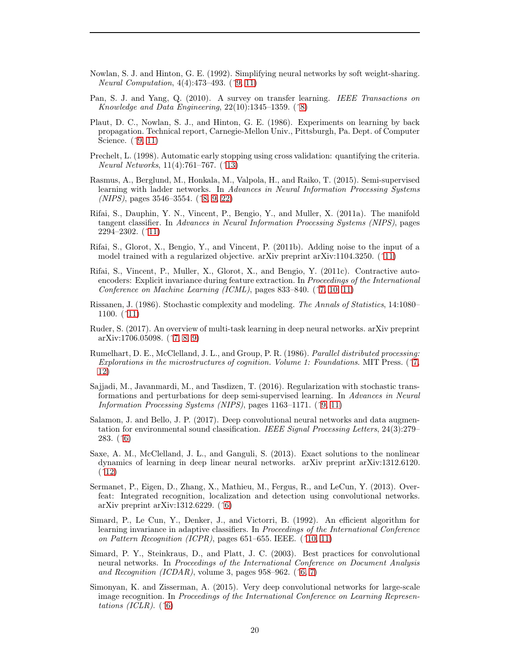- <span id="page-19-11"></span>Nowlan, S. J. and Hinton, G. E. (1992). Simplifying neural networks by soft weight-sharing. Neural Computation, 4(4):473–493. ([ˆ9,](#page-8-3) [11\)](#page-10-1)
- <span id="page-19-8"></span>Pan, S. J. and Yang, Q. (2010). A survey on transfer learning. IEEE Transactions on Knowledge and Data Engineering,  $22(10):1345-1359$ . ( $\hat{8}$ )
- <span id="page-19-10"></span>Plaut, D. C., Nowlan, S. J., and Hinton, G. E. (1986). Experiments on learning by back propagation. Technical report, Carnegie-Mellon Univ., Pittsburgh, Pa. Dept. of Computer Science. ([ˆ9,](#page-8-3) [11\)](#page-10-1)
- <span id="page-19-17"></span>Prechelt, L. (1998). Automatic early stopping using cross validation: quantifying the criteria. Neural Networks, 11(4):761–767. ([ˆ13\)](#page-12-2)
- <span id="page-19-7"></span>Rasmus, A., Berglund, M., Honkala, M., Valpola, H., and Raiko, T. (2015). Semi-supervised learning with ladder networks. In Advances in Neural Information Processing Systems (NIPS), pages 3546–3554. ([ˆ8,](#page-7-1) [9,](#page-8-3) [22\)](#page-21-3)
- <span id="page-19-14"></span>Rifai, S., Dauphin, Y. N., Vincent, P., Bengio, Y., and Muller, X. (2011a). The manifold tangent classifier. In Advances in Neural Information Processing Systems (NIPS), pages 2294–2302. ([ˆ11\)](#page-10-1)
- <span id="page-19-15"></span>Rifai, S., Glorot, X., Bengio, Y., and Vincent, P. (2011b). Adding noise to the input of a model trained with a regularized objective. arXiv preprint arXiv:1104.3250. ([ˆ11\)](#page-10-1)
- <span id="page-19-4"></span>Rifai, S., Vincent, P., Muller, X., Glorot, X., and Bengio, Y. (2011c). Contractive autoencoders: Explicit invariance during feature extraction. In Proceedings of the International Conference on Machine Learning (ICML), pages 833–840. ([ˆ7,](#page-6-1) [10,](#page-9-2) [11\)](#page-10-1)
- <span id="page-19-13"></span>Rissanen, J. (1986). Stochastic complexity and modeling. The Annals of Statistics, 14:1080– 1100. ([ˆ11\)](#page-10-1)
- <span id="page-19-6"></span>Ruder, S. (2017). An overview of multi-task learning in deep neural networks. arXiv preprint arXiv:1706.05098. ([ˆ7,](#page-6-1) [8,](#page-7-1) [9\)](#page-8-3)
- <span id="page-19-5"></span>Rumelhart, D. E., McClelland, J. L., and Group, P. R. (1986). Parallel distributed processing: Explorations in the microstructures of cognition. Volume 1: Foundations. MIT Press. ([ˆ7,](#page-6-1) [12\)](#page-11-0)
- <span id="page-19-9"></span>Sajjadi, M., Javanmardi, M., and Tasdizen, T. (2016). Regularization with stochastic transformations and perturbations for deep semi-supervised learning. In Advances in Neural Information Processing Systems (NIPS), pages 1163–1171. ([ˆ9,](#page-8-3) [11\)](#page-10-1)
- <span id="page-19-2"></span>Salamon, J. and Bello, J. P. (2017). Deep convolutional neural networks and data augmentation for environmental sound classification. IEEE Signal Processing Letters, 24(3):279– 283. ([ˆ6\)](#page-5-3)
- <span id="page-19-16"></span>Saxe, A. M., McClelland, J. L., and Ganguli, S. (2013). Exact solutions to the nonlinear dynamics of learning in deep linear neural networks. arXiv preprint arXiv:1312.6120.  $(12)$
- <span id="page-19-3"></span>Sermanet, P., Eigen, D., Zhang, X., Mathieu, M., Fergus, R., and LeCun, Y. (2013). Overfeat: Integrated recognition, localization and detection using convolutional networks. arXiv preprint arXiv:1312.6229.  $(^6)$
- <span id="page-19-12"></span>Simard, P., Le Cun, Y., Denker, J., and Victorri, B. (1992). An efficient algorithm for learning invariance in adaptive classifiers. In Proceedings of the International Conference on Pattern Recognition (ICPR), pages 651–655. IEEE.  $(^10, 11)$  $(^10, 11)$
- <span id="page-19-0"></span>Simard, P. Y., Steinkraus, D., and Platt, J. C. (2003). Best practices for convolutional neural networks. In Proceedings of the International Conference on Document Analysis and Recognition (ICDAR), volume 3, pages 958–962.  $(^6, 7)$  $(^6, 7)$
- <span id="page-19-1"></span>Simonyan, K. and Zisserman, A. (2015). Very deep convolutional networks for large-scale image recognition. In Proceedings of the International Conference on Learning Representations (ICLR).  $(^6)$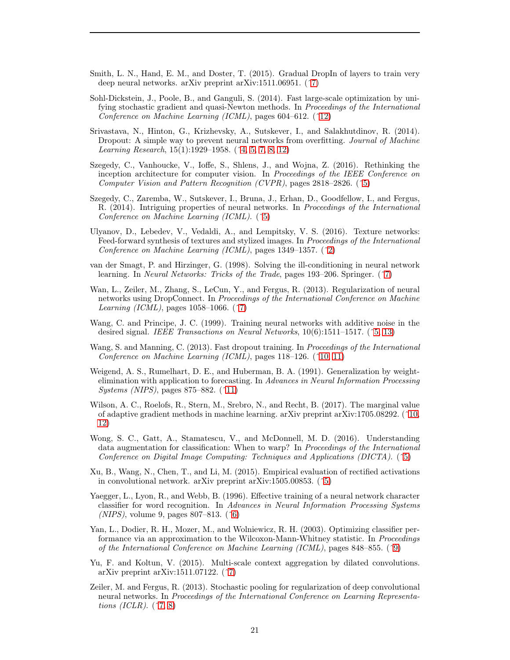- <span id="page-20-12"></span>Smith, L. N., Hand, E. M., and Doster, T. (2015). Gradual DropIn of layers to train very deep neural networks. arXiv preprint arXiv:1511.06951. ([ˆ7\)](#page-6-1)
- <span id="page-20-17"></span>Sohl-Dickstein, J., Poole, B., and Ganguli, S. (2014). Fast large-scale optimization by unifying stochastic gradient and quasi-Newton methods. In Proceedings of the International Conference on Machine Learning (ICML), pages 604–612. ([ˆ12\)](#page-11-0)
- <span id="page-20-1"></span>Srivastava, N., Hinton, G., Krizhevsky, A., Sutskever, I., and Salakhutdinov, R. (2014). Dropout: A simple way to prevent neural networks from overfitting. *Journal of Machine* Learning Research, 15(1):1929–1958. ([ˆ4,](#page-3-3) [5,](#page-4-1) [7,](#page-6-1) [8,](#page-7-1) [12\)](#page-11-0)
- <span id="page-20-6"></span>Szegedy, C., Vanhoucke, V., Ioffe, S., Shlens, J., and Wojna, Z. (2016). Rethinking the inception architecture for computer vision. In Proceedings of the IEEE Conference on Computer Vision and Pattern Recognition (CVPR), pages 2818–2826. ([ˆ5\)](#page-4-1)
- <span id="page-20-3"></span>Szegedy, C., Zaremba, W., Sutskever, I., Bruna, J., Erhan, D., Goodfellow, I., and Fergus, R. (2014). Intriguing properties of neural networks. In Proceedings of the International Conference on Machine Learning (ICML). ([ˆ5\)](#page-4-1)
- <span id="page-20-0"></span>Ulyanov, D., Lebedev, V., Vedaldi, A., and Lempitsky, V. S. (2016). Texture networks: Feed-forward synthesis of textures and stylized images. In Proceedings of the International Conference on Machine Learning (ICML), pages 1349–1357. ([ˆ2\)](#page-1-4)
- <span id="page-20-11"></span>van der Smagt, P. and Hirzinger, G. (1998). Solving the ill-conditioning in neural network learning. In Neural Networks: Tricks of the Trade, pages 193–206. Springer. ([ˆ7\)](#page-6-1)
- <span id="page-20-10"></span>Wan, L., Zeiler, M., Zhang, S., LeCun, Y., and Fergus, R. (2013). Regularization of neural networks using DropConnect. In Proceedings of the International Conference on Machine Learning (ICML), pages  $1058-1066$ . (^7)
- <span id="page-20-5"></span>Wang, C. and Principe, J. C. (1999). Training neural networks with additive noise in the desired signal. IEEE Transactions on Neural Networks, 10(6):1511–1517. ([ˆ5,](#page-4-1) [13\)](#page-12-2)
- <span id="page-20-14"></span>Wang, S. and Manning, C. (2013). Fast dropout training. In Proceedings of the International Conference on Machine Learning (ICML), pages 118–126. ([ˆ10,](#page-9-2) [11\)](#page-10-1)
- <span id="page-20-16"></span>Weigend, A. S., Rumelhart, D. E., and Huberman, B. A. (1991). Generalization by weightelimination with application to forecasting. In Advances in Neural Information Processing Systems (NIPS), pages 875–882. ([ˆ11\)](#page-10-1)
- <span id="page-20-15"></span>Wilson, A. C., Roelofs, R., Stern, M., Srebro, N., and Recht, B. (2017). The marginal value of adaptive gradient methods in machine learning. arXiv preprint arXiv:1705.08292. ([ˆ10,](#page-9-2) [12\)](#page-11-0)
- <span id="page-20-4"></span>Wong, S. C., Gatt, A., Stamatescu, V., and McDonnell, M. D. (2016). Understanding data augmentation for classification: When to warp? In Proceedings of the International Conference on Digital Image Computing: Techniques and Applications (DICTA). ([ˆ5\)](#page-4-1)
- <span id="page-20-2"></span>Xu, B., Wang, N., Chen, T., and Li, M. (2015). Empirical evaluation of rectified activations in convolutional network. arXiv preprint arXiv:1505.00853. ([ˆ5\)](#page-4-1)
- <span id="page-20-7"></span>Yaegger, L., Lyon, R., and Webb, B. (1996). Effective training of a neural network character classifier for word recognition. In Advances in Neural Information Processing Systems (*NIPS*), volume 9, pages 807–813.  $(^6)$
- <span id="page-20-13"></span>Yan, L., Dodier, R. H., Mozer, M., and Wolniewicz, R. H. (2003). Optimizing classifier performance via an approximation to the Wilcoxon-Mann-Whitney statistic. In Proceedings of the International Conference on Machine Learning (ICML), pages 848–855. ([ˆ9\)](#page-8-3)
- <span id="page-20-8"></span>Yu, F. and Koltun, V. (2015). Multi-scale context aggregation by dilated convolutions. arXiv preprint arXiv:1511.07122. ([ˆ7\)](#page-6-1)
- <span id="page-20-9"></span>Zeiler, M. and Fergus, R. (2013). Stochastic pooling for regularization of deep convolutional neural networks. In Proceedings of the International Conference on Learning Representations (ICLR).  $($   $\hat{7}, 8)$  $\hat{7}, 8)$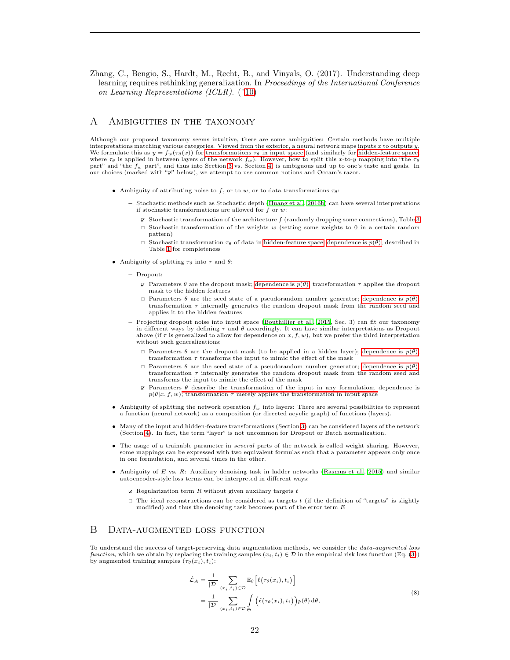<span id="page-21-3"></span><span id="page-21-2"></span>Zhang, C., Bengio, S., Hardt, M., Recht, B., and Vinyals, O. (2017). Understanding deep learning requires rethinking generalization. In Proceedings of the International Conference on Learning Representations (ICLR). ([ˆ10\)](#page-9-2)

# <span id="page-21-0"></span>A Ambiguities in the taxonomy

Although our proposed taxonomy seems intuitive, there are some ambiguities: Certain methods have multiple interpretations matching various categories. Viewed from the exterior, a neural network maps inputs  $x$  to outputs  $y$ . We formulate this as  $y = f_w(\tau_\theta(x))$  for [transformations](#page-2-0)  $\tau_\theta$  in input space (and similarly for [hidden-feature space,](#page-2-0) where  $\tau_{\theta}$  is applied in between layers of the network  $f_w$ ). However, how to split this x-to-y mapping into "the  $\tau_{\theta}$ part" and "the  $f_w$  part", and thus into Section [3](#page-1-1) vs. Section [4,](#page-5-0) is ambiguous and up to one's taste and goals. In our choices (marked with " $\mathbb{Z}$ " below), we attempt to use common notions and Occam's razor.

- Ambiguity of attributing noise to f, or to w, or to data transformations  $\tau_{\theta}$ :
	- Stochastic methods such as Stochastic depth [\(Huang et al., 2016b\)](#page-17-3) can have several interpretations if stochastic transformations are allowed for  $f$  or  $w$ :
		- $\triangledown$  Stochastic transformation of the architecture  $f$  (randomly dropping some connections), Table [3](#page-6-0)
		- $\Box$  Stochastic transformation of the weights w (setting some weights to 0 in a certain random pattern)
		- $\Box$  Stochastic transformation  $\tau_{\theta}$  of data in [hidden-feature space;](#page-2-0) [dependence is](#page-3-2)  $p(\theta)$ , described in Table [1](#page-4-0) for completeness
- Ambiguity of splitting  $\tau_{\theta}$  into  $\tau$  and  $\theta$ :
	- Dropout:
		- $\triangledown$  Parameters  $\theta$  are the dropout mask; [dependence is](#page-3-2)  $p(\theta)$ ; transformation  $\tau$  applies the dropout mask to the hidden features
		- $\Box$  Parameters  $\theta$  are the seed state of a pseudorandom number generator; [dependence is](#page-3-2)  $p(\theta)$ ; transformation  $\tau$  internally generates the random dropout mask from the random seed and applies it to the hidden features
	- Projecting dropout noise into input space [\(Bouthillier et al., 2015,](#page-15-2) Sec. 3) can fit our taxonomy in different ways by defining  $\tau$  and  $\theta$  accordingly. It can have similar interpretations as Dropout above (if  $\tau$  is generalized to allow for dependence on  $x, f, w$ ), but we prefer the third interpretation without such generalizations:
		- $\Box$  Parameters  $\theta$  are the dropout mask (to be applied in a hidden layer); [dependence is](#page-3-2)  $p(\theta)$ ; transformation  $\tau$  transforms the input to mimic the effect of the mask
		- $\Box$  Parameters  $\theta$  are the seed state of a pseudorandom number generator; [dependence is](#page-3-2)  $p(\theta)$ ; transformation  $\tau$  internally generates the random dropout mask from the random seed and transforms the input to mimic the effect of the mask
		- $\triangledown$  Parameters  $\theta$  [describe the transformation of the input in any formulation;](#page-3-2) dependence is  $p(\theta|x, f, w)$ ; transformation  $\tau$  merely applies the transformation in input space
- Ambiguity of splitting the network operation  $f_w$  into layers: There are several possibilities to represent a function (neural network) as a composition (or directed acyclic graph) of functions (layers).
- Many of the input and hidden-feature transformations (Section [3\)](#page-1-1) can be considered layers of the network (Section [4\)](#page-5-0). In fact, the term "layer" is not uncommon for Dropout or Batch normalization.
- The usage of a trainable parameter in several parts of the network is called weight sharing. However, some mappings can be expressed with two equivalent formulas such that a parameter appears only once in one formulation, and several times in the other.
- Ambiguity of E vs. R: Auxiliary denoising task in ladder networks [\(Rasmus et al., 2015](#page-19-7)) and similar autoencoder-style loss terms can be interpreted in different ways:
	- $\triangledown$  Regularization term R without given auxiliary targets t
	- $\Box$  The ideal reconstructions can be considered as targets t (if the definition of "targets" is slightly modified) and thus the denoising task becomes part of the error term  $E$

# <span id="page-21-1"></span>B Data-augmented loss function

To understand the success of target-preserving data augmentation methods, we consider the data-augmented loss function, which we obtain by replacing the training samples  $(x_i, t_i) \in \mathcal{D}$  in the empirical risk loss function (Eq. [\(3\)](#page-1-2)) by augmented training samples  $(\tau_{\theta}(x_i), t_i)$ :

$$
\hat{\mathcal{L}}_A = \frac{1}{|\mathcal{D}|} \sum_{(x_i, t_i) \in \mathcal{D}} \mathbb{E}_{\theta} \left[ \ell(\tau_{\theta}(x_i), t_i) \right] \n= \frac{1}{|\mathcal{D}|} \sum_{(x_i, t_i) \in \mathcal{D}} \int_{\Theta} \left( \ell(\tau_{\theta}(x_i), t_i) \right) p(\theta) d\theta,
$$
\n(8)